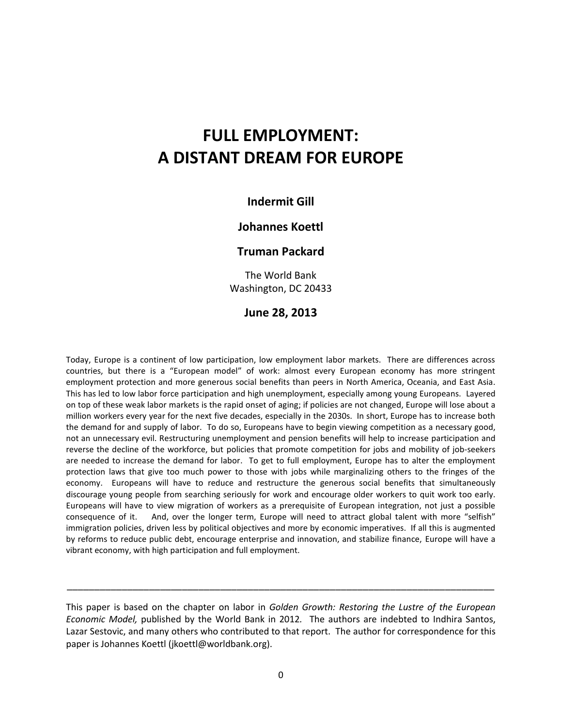# **FULL EMPLOYMENT: A DISTANT DREAM FOR EUROPE**

## **Indermit Gill**

## **Johannes Koettl**

### **Truman Packard**

The World Bank Washington, DC 20433

#### **June 28, 2013**

Today, Europe is a continent of low participation, low employment labor markets. There are differences across countries, but there is a "European model" of work: almost every European economy has more stringent employment protection and more generous social benefits than peers in North America, Oceania, and East Asia. This has led to low labor force participation and high unemployment, especially among young Europeans. Layered on top of these weak labor markets is the rapid onset of aging; if policies are not changed, Europe will lose about a million workers every year for the next five decades, especially in the 2030s. In short, Europe has to increase both the demand for and supply of labor. To do so, Europeans have to begin viewing competition as a necessary good, not an unnecessary evil. Restructuring unemployment and pension benefits will help to increase participation and reverse the decline of the workforce, but policies that promote competition for jobs and mobility of job-seekers are needed to increase the demand for labor. To get to full employment, Europe has to alter the employment protection laws that give too much power to those with jobs while marginalizing others to the fringes of the economy. Europeans will have to reduce and restructure the generous social benefits that simultaneously discourage young people from searching seriously for work and encourage older workers to quit work too early. Europeans will have to view migration of workers as a prerequisite of European integration, not just a possible consequence of it. And, over the longer term, Europe will need to attract global talent with more "selfish" immigration policies, driven less by political objectives and more by economic imperatives. If all this is augmented by reforms to reduce public debt, encourage enterprise and innovation, and stabilize finance, Europe will have a vibrant economy, with high participation and full employment.

This paper is based on the chapter on labor in *Golden Growth: Restoring the Lustre of the European Economic Model,* published by the World Bank in 2012*.* The authors are indebted to Indhira Santos, Lazar Sestovic, and many others who contributed to that report. The author for correspondence for this paper is Johannes Koettl (jkoettl@worldbank.org).

\_\_\_\_\_\_\_\_\_\_\_\_\_\_\_\_\_\_\_\_\_\_\_\_\_\_\_\_\_\_\_\_\_\_\_\_\_\_\_\_\_\_\_\_\_\_\_\_\_\_\_\_\_\_\_\_\_\_\_\_\_\_\_\_\_\_\_\_\_\_\_\_\_\_\_\_\_\_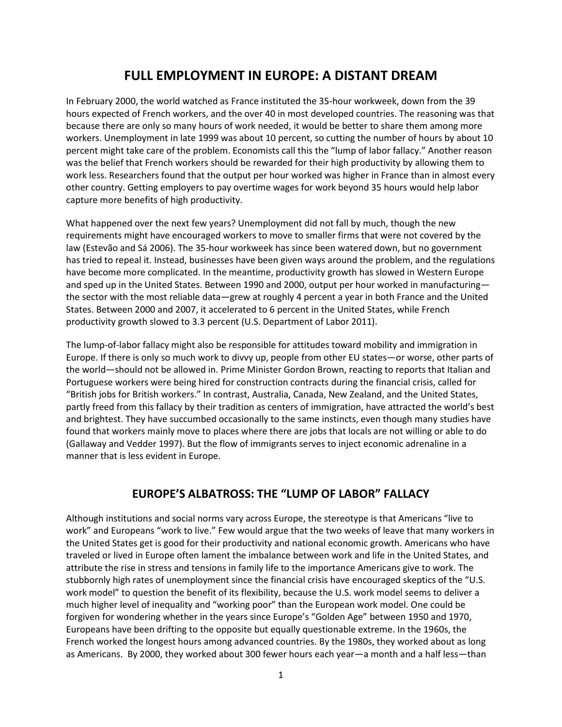# **FULL EMPLOYMENT IN EUROPE: A DISTANT DREAM**

In February 2000, the world watched as France instituted the 35-hour workweek, down from the 39 hours expected of French workers, and the over 40 in most developed countries. The reasoning was that because there are only so many hours of work needed, it would be better to share them among more workers. Unemployment in late 1999 was about 10 percent, so cutting the number of hours by about 10 percent might take care of the problem. Economists call this the "lump of labor fallacy." Another reason was the belief that French workers should be rewarded for their high productivity by allowing them to work less. Researchers found that the output per hour worked was higher in France than in almost every other country. Getting employers to pay overtime wages for work beyond 35 hours would help labor capture more benefits of high productivity.

What happened over the next few years? Unemployment did not fall by much, though the new requirements might have encouraged workers to move to smaller firms that were not covered by the law (Estevão and Sá 2006). The 35-hour workweek has since been watered down, but no government has tried to repeal it. Instead, businesses have been given ways around the problem, and the regulations have become more complicated. In the meantime, productivity growth has slowed in Western Europe and sped up in the United States. Between 1990 and 2000, output per hour worked in manufacturingthe sector with the most reliable data—grew at roughly 4 percent a year in both France and the United States. Between 2000 and 2007, it accelerated to 6 percent in the United States, while French productivity growth slowed to 3.3 percent (U.S. Department of Labor 2011).

The lump-of-labor fallacy might also be responsible for attitudes toward mobility and immigration in Europe. If there is only so much work to divvy up, people from other EU states—or worse, other parts of the world—should not be allowed in. Prime Minister Gordon Brown, reacting to reports that Italian and Portuguese workers were being hired for construction contracts during the financial crisis, called for "British jobs for British workers." In contrast, Australia, Canada, New Zealand, and the United States, partly freed from this fallacy by their tradition as centers of immigration, have attracted the world's best and brightest. They have succumbed occasionally to the same instincts, even though many studies have found that workers mainly move to places where there are jobs that locals are not willing or able to do (Gallaway and Vedder 1997). But the flow of immigrants serves to inject economic adrenaline in a manner that is less evident in Europe.

# **EUROPE'S ALBATROSS: THE "LUMP OF LABOR" FALLACY**

Although institutions and social norms vary across Europe, the stereotype is that Americans "live to work" and Europeans "work to live." Few would argue that the two weeks of leave that many workers in the United States get is good for their productivity and national economic growth. Americans who have traveled or lived in Europe often lament the imbalance between work and life in the United States, and attribute the rise in stress and tensions in family life to the importance Americans give to work. The stubbornly high rates of unemployment since the financial crisis have encouraged skeptics of the "U.S. work model" to question the benefit of its flexibility, because the U.S. work model seems to deliver a much higher level of inequality and "working poor" than the European work model. One could be forgiven for wondering whether in the years since Europe's "Golden Age" between 1950 and 1970, Europeans have been drifting to the opposite but equally questionable extreme. In the 1960s, the French worked the longest hours among advanced countries. By the 1980s, they worked about as long as Americans. By 2000, they worked about 300 fewer hours each year—a month and a half less—than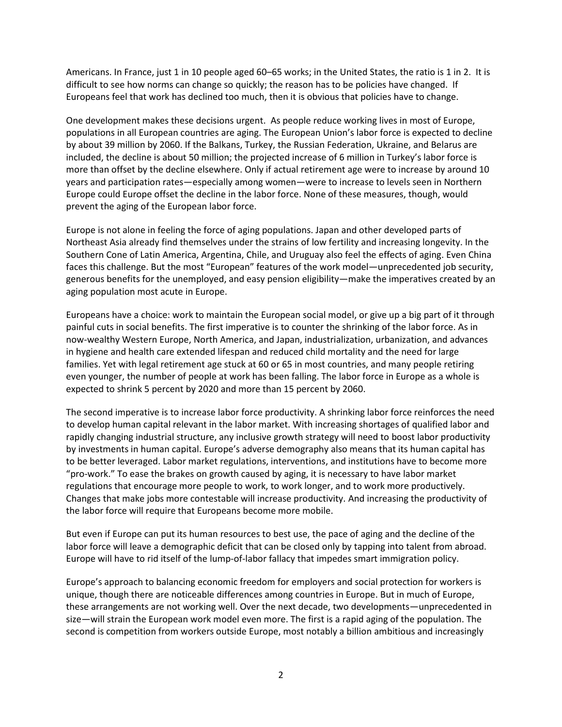Americans. In France, just 1 in 10 people aged 60–65 works; in the United States, the ratio is 1 in 2. It is difficult to see how norms can change so quickly; the reason has to be policies have changed. If Europeans feel that work has declined too much, then it is obvious that policies have to change.

One development makes these decisions urgent. As people reduce working lives in most of Europe, populations in all European countries are aging. The European Union's labor force is expected to decline by about 39 million by 2060. If the Balkans, Turkey, the Russian Federation, Ukraine, and Belarus are included, the decline is about 50 million; the projected increase of 6 million in Turkey's labor force is more than offset by the decline elsewhere. Only if actual retirement age were to increase by around 10 years and participation rates—especially among women—were to increase to levels seen in Northern Europe could Europe offset the decline in the labor force. None of these measures, though, would prevent the aging of the European labor force.

Europe is not alone in feeling the force of aging populations. Japan and other developed parts of Northeast Asia already find themselves under the strains of low fertility and increasing longevity. In the Southern Cone of Latin America, Argentina, Chile, and Uruguay also feel the effects of aging. Even China faces this challenge. But the most "European" features of the work model—unprecedented job security, generous benefits for the unemployed, and easy pension eligibility—make the imperatives created by an aging population most acute in Europe.

Europeans have a choice: work to maintain the European social model, or give up a big part of it through painful cuts in social benefits. The first imperative is to counter the shrinking of the labor force. As in now-wealthy Western Europe, North America, and Japan, industrialization, urbanization, and advances in hygiene and health care extended lifespan and reduced child mortality and the need for large families. Yet with legal retirement age stuck at 60 or 65 in most countries, and many people retiring even younger, the number of people at work has been falling. The labor force in Europe as a whole is expected to shrink 5 percent by 2020 and more than 15 percent by 2060.

The second imperative is to increase labor force productivity. A shrinking labor force reinforces the need to develop human capital relevant in the labor market. With increasing shortages of qualified labor and rapidly changing industrial structure, any inclusive growth strategy will need to boost labor productivity by investments in human capital. Europe's adverse demography also means that its human capital has to be better leveraged. Labor market regulations, interventions, and institutions have to become more "pro-work." To ease the brakes on growth caused by aging, it is necessary to have labor market regulations that encourage more people to work, to work longer, and to work more productively. Changes that make jobs more contestable will increase productivity. And increasing the productivity of the labor force will require that Europeans become more mobile.

But even if Europe can put its human resources to best use, the pace of aging and the decline of the labor force will leave a demographic deficit that can be closed only by tapping into talent from abroad. Europe will have to rid itself of the lump-of-labor fallacy that impedes smart immigration policy.

Europe's approach to balancing economic freedom for employers and social protection for workers is unique, though there are noticeable differences among countries in Europe. But in much of Europe, these arrangements are not working well. Over the next decade, two developments—unprecedented in size—will strain the European work model even more. The first is a rapid aging of the population. The second is competition from workers outside Europe, most notably a billion ambitious and increasingly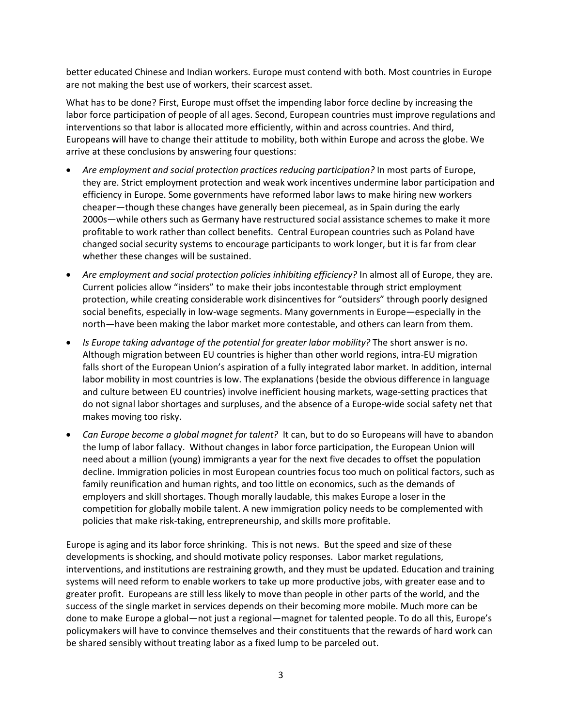better educated Chinese and Indian workers. Europe must contend with both. Most countries in Europe are not making the best use of workers, their scarcest asset.

What has to be done? First, Europe must offset the impending labor force decline by increasing the labor force participation of people of all ages. Second, European countries must improve regulations and interventions so that labor is allocated more efficiently, within and across countries. And third, Europeans will have to change their attitude to mobility, both within Europe and across the globe. We arrive at these conclusions by answering four questions:

- *Are employment and social protection practices reducing participation?* In most parts of Europe, they are. Strict employment protection and weak work incentives undermine labor participation and efficiency in Europe. Some governments have reformed labor laws to make hiring new workers cheaper—though these changes have generally been piecemeal, as in Spain during the early 2000s—while others such as Germany have restructured social assistance schemes to make it more profitable to work rather than collect benefits. Central European countries such as Poland have changed social security systems to encourage participants to work longer, but it is far from clear whether these changes will be sustained.
- *Are employment and social protection policies inhibiting efficiency?* In almost all of Europe, they are. Current policies allow "insiders" to make their jobs incontestable through strict employment protection, while creating considerable work disincentives for "outsiders" through poorly designed social benefits, especially in low-wage segments. Many governments in Europe—especially in the north—have been making the labor market more contestable, and others can learn from them.
- *Is Europe taking advantage of the potential for greater labor mobility?* The short answer is no. Although migration between EU countries is higher than other world regions, intra-EU migration falls short of the European Union's aspiration of a fully integrated labor market. In addition, internal labor mobility in most countries is low. The explanations (beside the obvious difference in language and culture between EU countries) involve inefficient housing markets, wage-setting practices that do not signal labor shortages and surpluses, and the absence of a Europe-wide social safety net that makes moving too risky.
- *Can Europe become a global magnet for talent?* It can, but to do so Europeans will have to abandon the lump of labor fallacy.Without changes in labor force participation, the European Union will need about a million (young) immigrants a year for the next five decades to offset the population decline. Immigration policies in most European countries focus too much on political factors, such as family reunification and human rights, and too little on economics, such as the demands of employers and skill shortages. Though morally laudable, this makes Europe a loser in the competition for globally mobile talent. A new immigration policy needs to be complemented with policies that make risk-taking, entrepreneurship, and skills more profitable.

Europe is aging and its labor force shrinking. This is not news. But the speed and size of these developments is shocking, and should motivate policy responses. Labor market regulations, interventions, and institutions are restraining growth, and they must be updated. Education and training systems will need reform to enable workers to take up more productive jobs, with greater ease and to greater profit. Europeans are still less likely to move than people in other parts of the world, and the success of the single market in services depends on their becoming more mobile. Much more can be done to make Europe a global—not just a regional—magnet for talented people. To do all this, Europe's policymakers will have to convince themselves and their constituents that the rewards of hard work can be shared sensibly without treating labor as a fixed lump to be parceled out.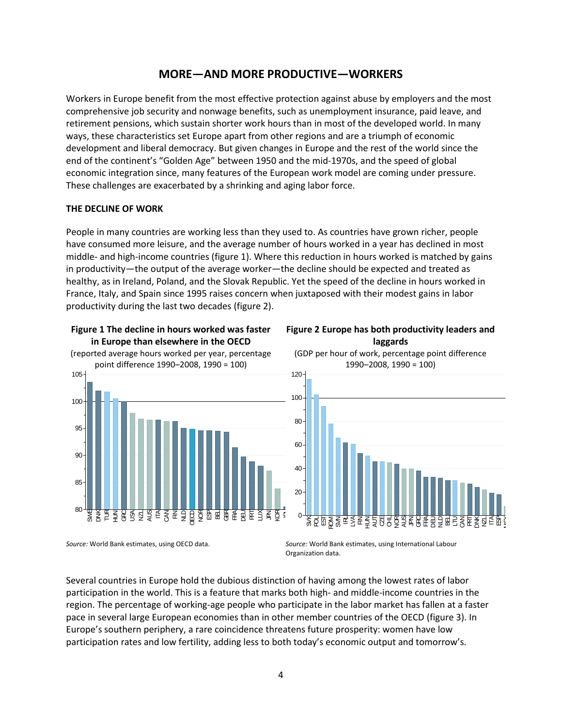# **MORE—AND MORE PRODUCTIVE—WORKERS**

Workers in Europe benefit from the most effective protection against abuse by employers and the most comprehensive job security and nonwage benefits, such as unemployment insurance, paid leave, and retirement pensions, which sustain shorter work hours than in most of the developed world. In many ways, these characteristics set Europe apart from other regions and are a triumph of economic development and liberal democracy. But given changes in Europe and the rest of the world since the end of the continent's "Golden Age" between 1950 and the mid-1970s, and the speed of global economic integration since, many features of the European work model are coming under pressure. These challenges are exacerbated by a shrinking and aging labor force.

#### **THE DECLINE OF WORK**

People in many countries are working less than they used to. As countries have grown richer, people have consumed more leisure, and the average number of hours worked in a year has declined in most middle- and high-income countries (figure 1). Where this reduction in hours worked is matched by gains in productivity—the output of the average worker—the decline should be expected and treated as healthy, as in Ireland, Poland, and the Slovak Republic. Yet the speed of the decline in hours worked in France, Italy, and Spain since 1995 raises concern when juxtaposed with their modest gains in labor productivity during the last two decades (figure 2).

# **Figure 1 The decline in hours worked was faster in Europe than elsewhere in the OECD** (reported average hours worked per year, percentage point difference 1990–2008, 1990 = 100) 100 105







*Source:* World Bank estimates, using OECD data. *Source:* World Bank estimates, using International Labour Organization data.

Several countries in Europe hold the dubious distinction of having among the lowest rates of labor participation in the world. This is a feature that marks both high- and middle-income countries in the region. The percentage of working-age people who participate in the labor market has fallen at a faster pace in several large European economies than in other member countries of the OECD (figure 3). In Europe's southern periphery, a rare coincidence threatens future prosperity: women have low participation rates and low fertility, adding less to both today's economic output and tomorrow's.

ছ<br>≝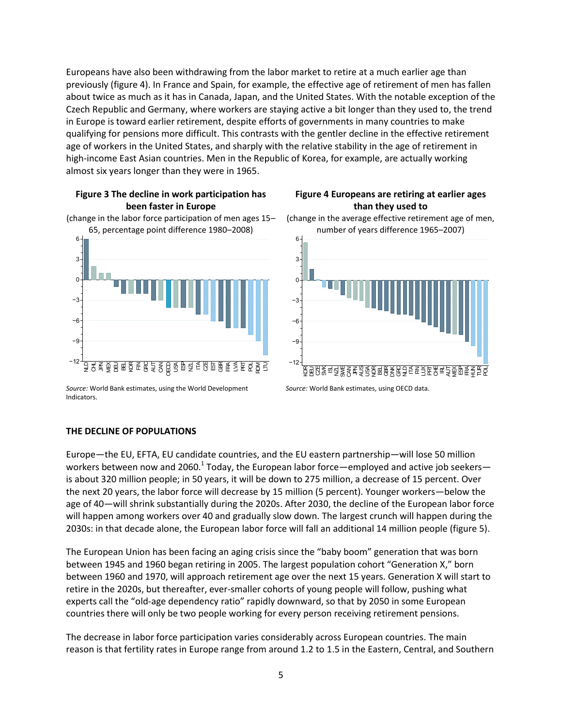Europeans have also been withdrawing from the labor market to retire at a much earlier age than previously (figure 4). In France and Spain, for example, the effective age of retirement of men has fallen about twice as much as it has in Canada, Japan, and the United States. With the notable exception of the Czech Republic and Germany, where workers are staying active a bit longer than they used to, the trend in Europe is toward earlier retirement, despite efforts of governments in many countries to make qualifying for pensions more difficult. This contrasts with the gentler decline in the effective retirement age of workers in the United States, and sharply with the relative stability in the age of retirement in high-income East Asian countries. Men in the Republic of Korea, for example, are actually working almost six years longer than they were in 1965.

#### **Figure 3 The decline in work participation has been faster in Europe** (change in the labor force participation of men ages 15–



*Source:* World Bank estimates, using the World Development Indicators.

#### **Figure 4 Europeans are retiring at earlier ages than they used to** (change in the average effective retirement age of men,



*Source:* World Bank estimates, using OECD data.

#### **THE DECLINE OF POPULATIONS**

Europe—the EU, EFTA, EU candidate countries, and the EU eastern partnership—will lose 50 million workers between now and 2060.<sup>1</sup> Today, the European labor force—employed and active job seekers is about 320 million people; in 50 years, it will be down to 275 million, a decrease of 15 percent. Over the next 20 years, the labor force will decrease by 15 million (5 percent). Younger workers—below the age of 40—will shrink substantially during the 2020s. After 2030, the decline of the European labor force will happen among workers over 40 and gradually slow down. The largest crunch will happen during the 2030s: in that decade alone, the European labor force will fall an additional 14 million people (figure 5).

The European Union has been facing an aging crisis since the "baby boom" generation that was born between 1945 and 1960 began retiring in 2005. The largest population cohort "Generation X," born between 1960 and 1970, will approach retirement age over the next 15 years. Generation X will start to retire in the 2020s, but thereafter, ever-smaller cohorts of young people will follow, pushing what experts call the "old-age dependency ratio" rapidly downward, so that by 2050 in some European countries there will only be two people working for every person receiving retirement pensions.

The decrease in labor force participation varies considerably across European countries. The main reason is that fertility rates in Europe range from around 1.2 to 1.5 in the Eastern, Central, and Southern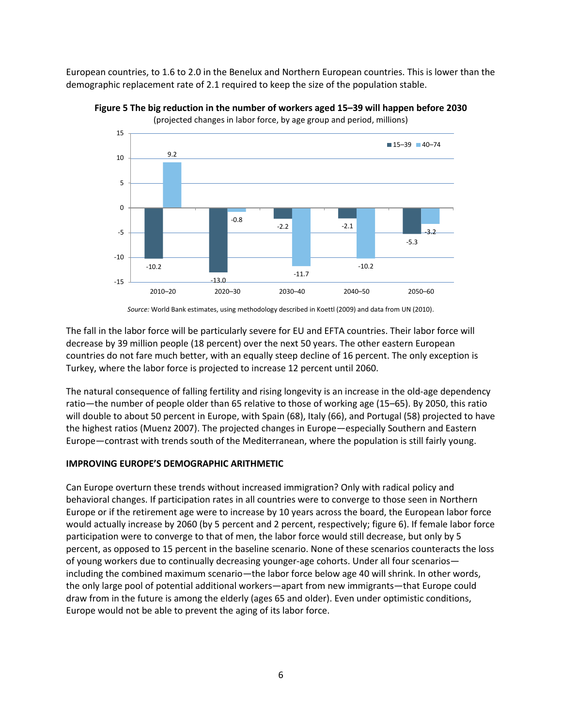European countries, to 1.6 to 2.0 in the Benelux and Northern European countries. This is lower than the demographic replacement rate of 2.1 required to keep the size of the population stable.



**Figure 5 The big reduction in the number of workers aged 15–39 will happen before 2030** (projected changes in labor force, by age group and period, millions)

*Source:* World Bank estimates, using methodology described in Koettl (2009) and data from UN (2010).

The fall in the labor force will be particularly severe for EU and EFTA countries. Their labor force will decrease by 39 million people (18 percent) over the next 50 years. The other eastern European countries do not fare much better, with an equally steep decline of 16 percent. The only exception is Turkey, where the labor force is projected to increase 12 percent until 2060.

The natural consequence of falling fertility and rising longevity is an increase in the old-age dependency ratio—the number of people older than 65 relative to those of working age (15–65). By 2050, this ratio will double to about 50 percent in Europe, with Spain (68), Italy (66), and Portugal (58) projected to have the highest ratios (Muenz 2007). The projected changes in Europe—especially Southern and Eastern Europe—contrast with trends south of the Mediterranean, where the population is still fairly young.

#### **IMPROVING EUROPE'S DEMOGRAPHIC ARITHMETIC**

Can Europe overturn these trends without increased immigration? Only with radical policy and behavioral changes. If participation rates in all countries were to converge to those seen in Northern Europe or if the retirement age were to increase by 10 years across the board, the European labor force would actually increase by 2060 (by 5 percent and 2 percent, respectively; figure 6). If female labor force participation were to converge to that of men, the labor force would still decrease, but only by 5 percent, as opposed to 15 percent in the baseline scenario. None of these scenarios counteracts the loss of young workers due to continually decreasing younger-age cohorts. Under all four scenarios including the combined maximum scenario—the labor force below age 40 will shrink. In other words, the only large pool of potential additional workers—apart from new immigrants—that Europe could draw from in the future is among the elderly (ages 65 and older). Even under optimistic conditions, Europe would not be able to prevent the aging of its labor force.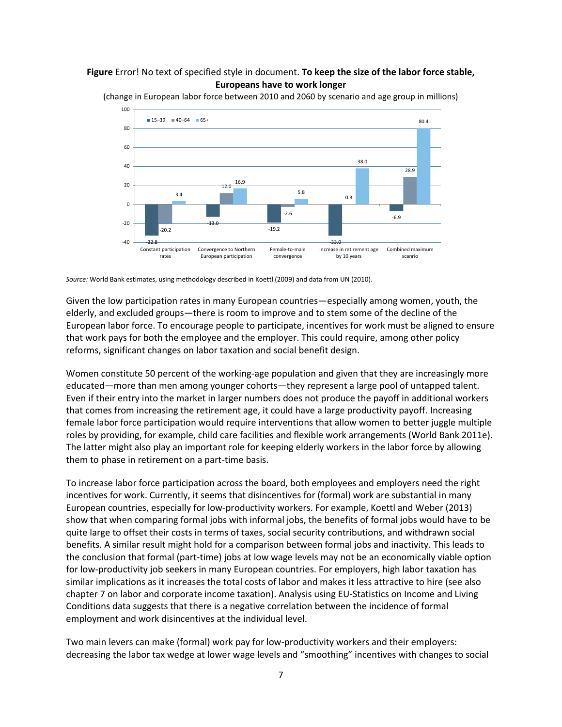#### **Figure** Error! No text of specified style in document. **To keep the size of the labor force stable, Europeans have to work longer**



(change in European labor force between 2010 and 2060 by scenario and age group in millions)

Given the low participation rates in many European countries—especially among women, youth, the elderly, and excluded groups—there is room to improve and to stem some of the decline of the European labor force. To encourage people to participate, incentives for work must be aligned to ensure that work pays for both the employee and the employer. This could require, among other policy reforms, significant changes on labor taxation and social benefit design.

Women constitute 50 percent of the working-age population and given that they are increasingly more educated—more than men among younger cohorts—they represent a large pool of untapped talent. Even if their entry into the market in larger numbers does not produce the payoff in additional workers that comes from increasing the retirement age, it could have a large productivity payoff. Increasing female labor force participation would require interventions that allow women to better juggle multiple roles by providing, for example, child care facilities and flexible work arrangements (World Bank 2011e). The latter might also play an important role for keeping elderly workers in the labor force by allowing them to phase in retirement on a part-time basis.

To increase labor force participation across the board, both employees and employers need the right incentives for work. Currently, it seems that disincentives for (formal) work are substantial in many European countries, especially for low-productivity workers. For example, Koettl and Weber (2013) show that when comparing formal jobs with informal jobs, the benefits of formal jobs would have to be quite large to offset their costs in terms of taxes, social security contributions, and withdrawn social benefits. A similar result might hold for a comparison between formal jobs and inactivity. This leads to the conclusion that formal (part-time) jobs at low wage levels may not be an economically viable option for low-productivity job seekers in many European countries. For employers, high labor taxation has similar implications as it increases the total costs of labor and makes it less attractive to hire (see also chapter 7 on labor and corporate income taxation). Analysis using EU-Statistics on Income and Living Conditions data suggests that there is a negative correlation between the incidence of formal employment and work disincentives at the individual level.

Two main levers can make (formal) work pay for low-productivity workers and their employers: decreasing the labor tax wedge at lower wage levels and "smoothing" incentives with changes to social

*Source:* World Bank estimates, using methodology described in Koettl (2009) and data from UN (2010).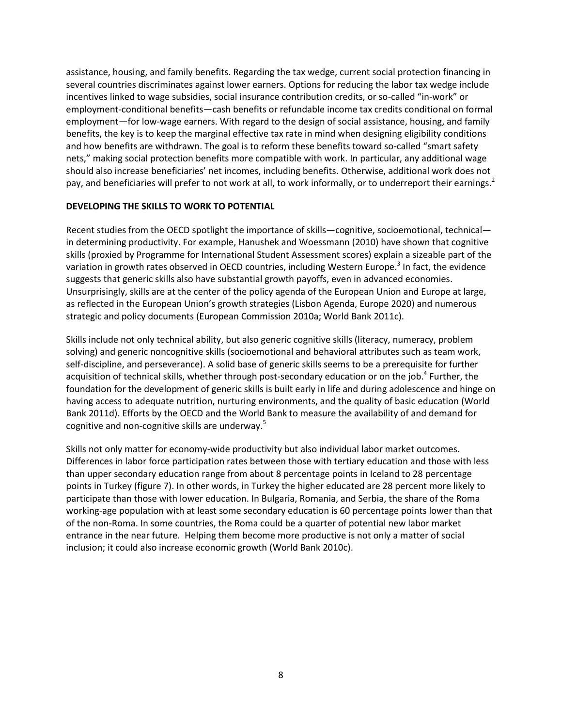assistance, housing, and family benefits. Regarding the tax wedge, current social protection financing in several countries discriminates against lower earners. Options for reducing the labor tax wedge include incentives linked to wage subsidies, social insurance contribution credits, or so-called "in-work" or employment-conditional benefits—cash benefits or refundable income tax credits conditional on formal employment—for low-wage earners. With regard to the design of social assistance, housing, and family benefits, the key is to keep the marginal effective tax rate in mind when designing eligibility conditions and how benefits are withdrawn. The goal is to reform these benefits toward so-called "smart safety nets," making social protection benefits more compatible with work. In particular, any additional wage should also increase beneficiaries' net incomes, including benefits. Otherwise, additional work does not pay, and beneficiaries will prefer to not work at all, to work informally, or to underreport their earnings.<sup>2</sup>

#### **DEVELOPING THE SKILLS TO WORK TO POTENTIAL**

Recent studies from the OECD spotlight the importance of skills—cognitive, socioemotional, technical in determining productivity. For example, Hanushek and Woessmann (2010) have shown that cognitive skills (proxied by Programme for International Student Assessment scores) explain a sizeable part of the variation in growth rates observed in OECD countries, including Western Europe.<sup>3</sup> In fact, the evidence suggests that generic skills also have substantial growth payoffs, even in advanced economies. Unsurprisingly, skills are at the center of the policy agenda of the European Union and Europe at large, as reflected in the European Union's growth strategies (Lisbon Agenda, Europe 2020) and numerous strategic and policy documents (European Commission 2010a; World Bank 2011c).

Skills include not only technical ability, but also generic cognitive skills (literacy, numeracy, problem solving) and generic noncognitive skills (socioemotional and behavioral attributes such as team work, self-discipline, and perseverance). A solid base of generic skills seems to be a prerequisite for further acquisition of technical skills, whether through post-secondary education or on the job.<sup>4</sup> Further, the foundation for the development of generic skills is built early in life and during adolescence and hinge on having access to adequate nutrition, nurturing environments, and the quality of basic education (World Bank 2011d). Efforts by the OECD and the World Bank to measure the availability of and demand for cognitive and non-cognitive skills are underway.<sup>5</sup>

Skills not only matter for economy-wide productivity but also individual labor market outcomes. Differences in labor force participation rates between those with tertiary education and those with less than upper secondary education range from about 8 percentage points in Iceland to 28 percentage points in Turkey (figure 7). In other words, in Turkey the higher educated are 28 percent more likely to participate than those with lower education. In Bulgaria, Romania, and Serbia, the share of the Roma working-age population with at least some secondary education is 60 percentage points lower than that of the non-Roma. In some countries, the Roma could be a quarter of potential new labor market entrance in the near future. Helping them become more productive is not only a matter of social inclusion; it could also increase economic growth (World Bank 2010c).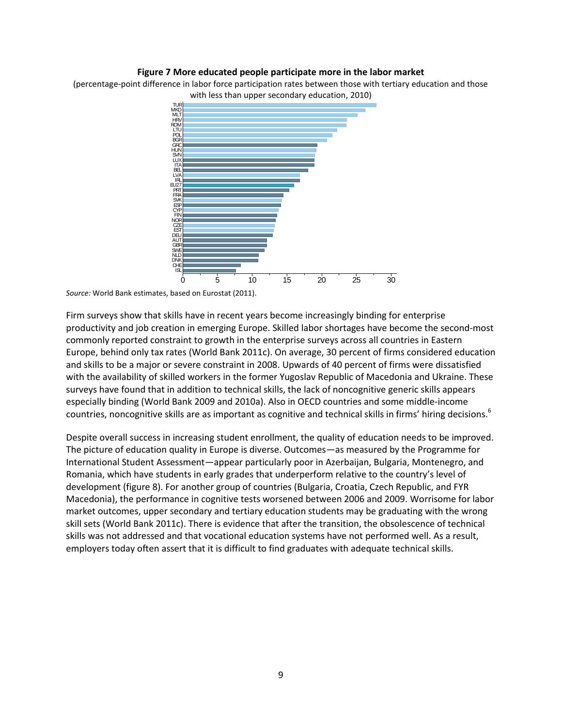#### **Figure 7 More educated people participate more in the labor market**

(percentage-point difference in labor force participation rates between those with tertiary education and those with less than upper secondary education, 2010)



*Source:* World Bank estimates, based on Eurostat (2011).

Firm surveys show that skills have in recent years become increasingly binding for enterprise productivity and job creation in emerging Europe. Skilled labor shortages have become the second-most commonly reported constraint to growth in the enterprise surveys across all countries in Eastern Europe, behind only tax rates (World Bank 2011c). On average, 30 percent of firms considered education and skills to be a major or severe constraint in 2008. Upwards of 40 percent of firms were dissatisfied with the availability of skilled workers in the former Yugoslav Republic of Macedonia and Ukraine. These surveys have found that in addition to technical skills, the lack of noncognitive generic skills appears especially binding (World Bank 2009 and 2010a). Also in OECD countries and some middle-income countries, noncognitive skills are as important as cognitive and technical skills in firms' hiring decisions.<sup>6</sup>

Despite overall success in increasing student enrollment, the quality of education needs to be improved. The picture of education quality in Europe is diverse. Outcomes—as measured by the Programme for International Student Assessment—appear particularly poor in Azerbaijan, Bulgaria, Montenegro, and Romania, which have students in early grades that underperform relative to the country's level of development (figure 8). For another group of countries (Bulgaria, Croatia, Czech Republic, and FYR Macedonia), the performance in cognitive tests worsened between 2006 and 2009. Worrisome for labor market outcomes, upper secondary and tertiary education students may be graduating with the wrong skill sets (World Bank 2011c). There is evidence that after the transition, the obsolescence of technical skills was not addressed and that vocational education systems have not performed well. As a result, employers today often assert that it is difficult to find graduates with adequate technical skills.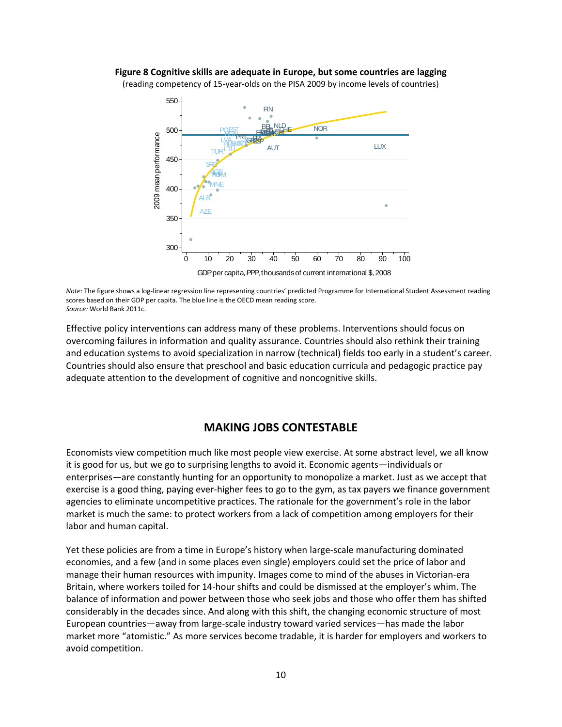#### **Figure 8 Cognitive skills are adequate in Europe, but some countries are lagging** (reading competency of 15-year-olds on the PISA 2009 by income levels of countries)



*Note:* The figure shows a log-linear regression line representing countries' predicted Programme for International Student Assessment reading scores based on their GDP per capita. The blue line is the OECD mean reading score. *Source:* World Bank 2011c.

Effective policy interventions can address many of these problems. Interventions should focus on overcoming failures in information and quality assurance. Countries should also rethink their training and education systems to avoid specialization in narrow (technical) fields too early in a student's career. Countries should also ensure that preschool and basic education curricula and pedagogic practice pay adequate attention to the development of cognitive and noncognitive skills.

## **MAKING JOBS CONTESTABLE**

Economists view competition much like most people view exercise. At some abstract level, we all know it is good for us, but we go to surprising lengths to avoid it. Economic agents—individuals or enterprises—are constantly hunting for an opportunity to monopolize a market. Just as we accept that exercise is a good thing, paying ever-higher fees to go to the gym, as tax payers we finance government agencies to eliminate uncompetitive practices. The rationale for the government's role in the labor market is much the same: to protect workers from a lack of competition among employers for their labor and human capital.

Yet these policies are from a time in Europe's history when large-scale manufacturing dominated economies, and a few (and in some places even single) employers could set the price of labor and manage their human resources with impunity. Images come to mind of the abuses in Victorian-era Britain, where workers toiled for 14-hour shifts and could be dismissed at the employer's whim. The balance of information and power between those who seek jobs and those who offer them has shifted considerably in the decades since. And along with this shift, the changing economic structure of most European countries—away from large-scale industry toward varied services—has made the labor market more "atomistic." As more services become tradable, it is harder for employers and workers to avoid competition.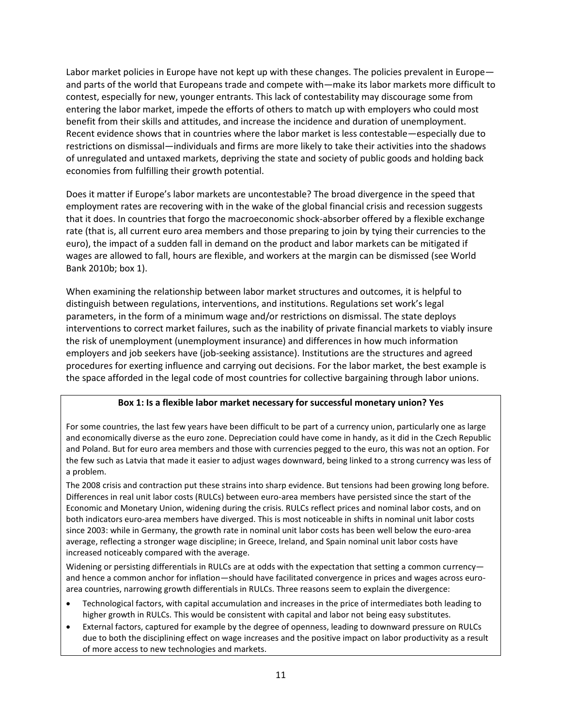Labor market policies in Europe have not kept up with these changes. The policies prevalent in Europe and parts of the world that Europeans trade and compete with—make its labor markets more difficult to contest, especially for new, younger entrants. This lack of contestability may discourage some from entering the labor market, impede the efforts of others to match up with employers who could most benefit from their skills and attitudes, and increase the incidence and duration of unemployment. Recent evidence shows that in countries where the labor market is less contestable—especially due to restrictions on dismissal—individuals and firms are more likely to take their activities into the shadows of unregulated and untaxed markets, depriving the state and society of public goods and holding back economies from fulfilling their growth potential.

Does it matter if Europe's labor markets are uncontestable? The broad divergence in the speed that employment rates are recovering with in the wake of the global financial crisis and recession suggests that it does. In countries that forgo the macroeconomic shock-absorber offered by a flexible exchange rate (that is, all current euro area members and those preparing to join by tying their currencies to the euro), the impact of a sudden fall in demand on the product and labor markets can be mitigated if wages are allowed to fall, hours are flexible, and workers at the margin can be dismissed (see World Bank 2010b; box 1).

When examining the relationship between labor market structures and outcomes, it is helpful to distinguish between regulations, interventions, and institutions. Regulations set work's legal parameters, in the form of a minimum wage and/or restrictions on dismissal. The state deploys interventions to correct market failures, such as the inability of private financial markets to viably insure the risk of unemployment (unemployment insurance) and differences in how much information employers and job seekers have (job-seeking assistance). Institutions are the structures and agreed procedures for exerting influence and carrying out decisions. For the labor market, the best example is the space afforded in the legal code of most countries for collective bargaining through labor unions.

#### **Box 1: Is a flexible labor market necessary for successful monetary union? Yes**

For some countries, the last few years have been difficult to be part of a currency union, particularly one as large and economically diverse as the euro zone. Depreciation could have come in handy, as it did in the Czech Republic and Poland. But for euro area members and those with currencies pegged to the euro, this was not an option. For the few such as Latvia that made it easier to adjust wages downward, being linked to a strong currency was less of a problem.

The 2008 crisis and contraction put these strains into sharp evidence. But tensions had been growing long before. Differences in real unit labor costs (RULCs) between euro-area members have persisted since the start of the Economic and Monetary Union, widening during the crisis. RULCs reflect prices and nominal labor costs, and on both indicators euro-area members have diverged. This is most noticeable in shifts in nominal unit labor costs since 2003: while in Germany, the growth rate in nominal unit labor costs has been well below the euro-area average, reflecting a stronger wage discipline; in Greece, Ireland, and Spain nominal unit labor costs have increased noticeably compared with the average.

Widening or persisting differentials in RULCs are at odds with the expectation that setting a common currency and hence a common anchor for inflation—should have facilitated convergence in prices and wages across euroarea countries, narrowing growth differentials in RULCs. Three reasons seem to explain the divergence:

- Technological factors, with capital accumulation and increases in the price of intermediates both leading to higher growth in RULCs. This would be consistent with capital and labor not being easy substitutes.
- External factors, captured for example by the degree of openness, leading to downward pressure on RULCs due to both the disciplining effect on wage increases and the positive impact on labor productivity as a result of more access to new technologies and markets.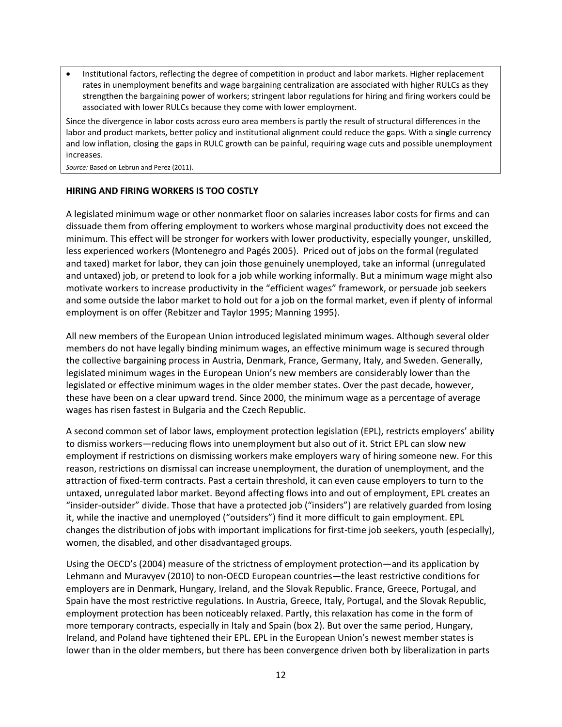Institutional factors, reflecting the degree of competition in product and labor markets. Higher replacement rates in unemployment benefits and wage bargaining centralization are associated with higher RULCs as they strengthen the bargaining power of workers; stringent labor regulations for hiring and firing workers could be associated with lower RULCs because they come with lower employment.

Since the divergence in labor costs across euro area members is partly the result of structural differences in the labor and product markets, better policy and institutional alignment could reduce the gaps. With a single currency and low inflation, closing the gaps in RULC growth can be painful, requiring wage cuts and possible unemployment increases.

*Source:* Based on Lebrun and Perez (2011).

#### **HIRING AND FIRING WORKERS IS TOO COSTLY**

A legislated minimum wage or other nonmarket floor on salaries increases labor costs for firms and can dissuade them from offering employment to workers whose marginal productivity does not exceed the minimum. This effect will be stronger for workers with lower productivity, especially younger, unskilled, less experienced workers (Montenegro and Pagés 2005). Priced out of jobs on the formal (regulated and taxed) market for labor, they can join those genuinely unemployed, take an informal (unregulated and untaxed) job, or pretend to look for a job while working informally. But a minimum wage might also motivate workers to increase productivity in the "efficient wages" framework, or persuade job seekers and some outside the labor market to hold out for a job on the formal market, even if plenty of informal employment is on offer (Rebitzer and Taylor 1995; Manning 1995).

All new members of the European Union introduced legislated minimum wages. Although several older members do not have legally binding minimum wages, an effective minimum wage is secured through the collective bargaining process in Austria, Denmark, France, Germany, Italy, and Sweden. Generally, legislated minimum wages in the European Union's new members are considerably lower than the legislated or effective minimum wages in the older member states. Over the past decade, however, these have been on a clear upward trend. Since 2000, the minimum wage as a percentage of average wages has risen fastest in Bulgaria and the Czech Republic.

A second common set of labor laws, employment protection legislation (EPL), restricts employers' ability to dismiss workers—reducing flows into unemployment but also out of it. Strict EPL can slow new employment if restrictions on dismissing workers make employers wary of hiring someone new. For this reason, restrictions on dismissal can increase unemployment, the duration of unemployment, and the attraction of fixed-term contracts. Past a certain threshold, it can even cause employers to turn to the untaxed, unregulated labor market. Beyond affecting flows into and out of employment, EPL creates an "insider-outsider" divide. Those that have a protected job ("insiders") are relatively guarded from losing it, while the inactive and unemployed ("outsiders") find it more difficult to gain employment. EPL changes the distribution of jobs with important implications for first-time job seekers, youth (especially), women, the disabled, and other disadvantaged groups.

Using the OECD's (2004) measure of the strictness of employment protection—and its application by Lehmann and Muravyev (2010) to non-OECD European countries—the least restrictive conditions for employers are in Denmark, Hungary, Ireland, and the Slovak Republic. France, Greece, Portugal, and Spain have the most restrictive regulations. In Austria, Greece, Italy, Portugal, and the Slovak Republic, employment protection has been noticeably relaxed. Partly, this relaxation has come in the form of more temporary contracts, especially in Italy and Spain (box 2). But over the same period, Hungary, Ireland, and Poland have tightened their EPL. EPL in the European Union's newest member states is lower than in the older members, but there has been convergence driven both by liberalization in parts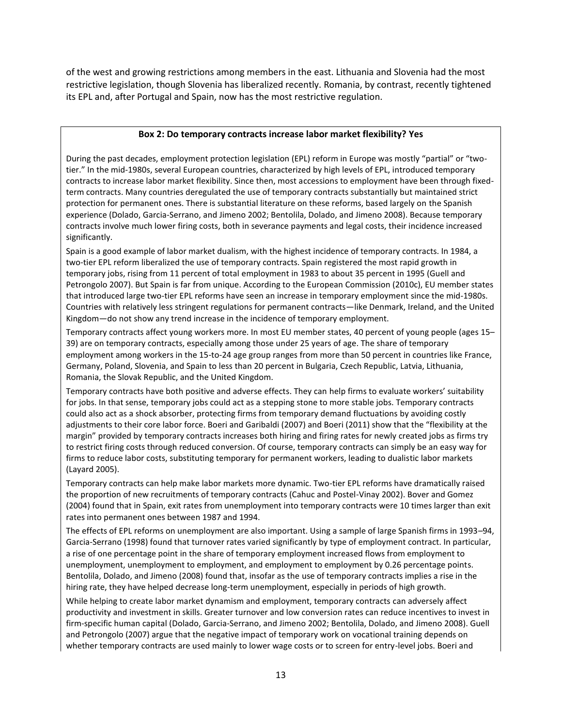of the west and growing restrictions among members in the east. Lithuania and Slovenia had the most restrictive legislation, though Slovenia has liberalized recently. Romania, by contrast, recently tightened its EPL and, after Portugal and Spain, now has the most restrictive regulation.

#### **Box 2: Do temporary contracts increase labor market flexibility? Yes**

During the past decades, employment protection legislation (EPL) reform in Europe was mostly "partial" or "twotier." In the mid-1980s, several European countries, characterized by high levels of EPL, introduced temporary contracts to increase labor market flexibility. Since then, most accessions to employment have been through fixedterm contracts. Many countries deregulated the use of temporary contracts substantially but maintained strict protection for permanent ones. There is substantial literature on these reforms, based largely on the Spanish experience (Dolado, Garcia-Serrano, and Jimeno 2002; Bentolila, Dolado, and Jimeno 2008). Because temporary contracts involve much lower firing costs, both in severance payments and legal costs, their incidence increased significantly.

Spain is a good example of labor market dualism, with the highest incidence of temporary contracts. In 1984, a two-tier EPL reform liberalized the use of temporary contracts. Spain registered the most rapid growth in temporary jobs, rising from 11 percent of total employment in 1983 to about 35 percent in 1995 (Guell and Petrongolo 2007). But Spain is far from unique. According to the European Commission (2010c), EU member states that introduced large two-tier EPL reforms have seen an increase in temporary employment since the mid-1980s. Countries with relatively less stringent regulations for permanent contracts—like Denmark, Ireland, and the United Kingdom—do not show any trend increase in the incidence of temporary employment.

Temporary contracts affect young workers more. In most EU member states, 40 percent of young people (ages 15– 39) are on temporary contracts, especially among those under 25 years of age. The share of temporary employment among workers in the 15-to-24 age group ranges from more than 50 percent in countries like France, Germany, Poland, Slovenia, and Spain to less than 20 percent in Bulgaria, Czech Republic, Latvia, Lithuania, Romania, the Slovak Republic, and the United Kingdom.

Temporary contracts have both positive and adverse effects. They can help firms to evaluate workers' suitability for jobs. In that sense, temporary jobs could act as a stepping stone to more stable jobs. Temporary contracts could also act as a shock absorber, protecting firms from temporary demand fluctuations by avoiding costly adjustments to their core labor force. Boeri and Garibaldi (2007) and Boeri (2011) show that the "flexibility at the margin" provided by temporary contracts increases both hiring and firing rates for newly created jobs as firms try to restrict firing costs through reduced conversion. Of course, temporary contracts can simply be an easy way for firms to reduce labor costs, substituting temporary for permanent workers, leading to dualistic labor markets (Layard 2005).

Temporary contracts can help make labor markets more dynamic. Two-tier EPL reforms have dramatically raised the proportion of new recruitments of temporary contracts (Cahuc and Postel-Vinay 2002). Bover and Gomez (2004) found that in Spain, exit rates from unemployment into temporary contracts were 10 times larger than exit rates into permanent ones between 1987 and 1994.

The effects of EPL reforms on unemployment are also important. Using a sample of large Spanish firms in 1993–94, Garcia-Serrano (1998) found that turnover rates varied significantly by type of employment contract. In particular, a rise of one percentage point in the share of temporary employment increased flows from employment to unemployment, unemployment to employment, and employment to employment by 0.26 percentage points. Bentolila, Dolado, and Jimeno (2008) found that, insofar as the use of temporary contracts implies a rise in the hiring rate, they have helped decrease long-term unemployment, especially in periods of high growth.

While helping to create labor market dynamism and employment, temporary contracts can adversely affect productivity and investment in skills. Greater turnover and low conversion rates can reduce incentives to invest in firm-specific human capital (Dolado, Garcia-Serrano, and Jimeno 2002; Bentolila, Dolado, and Jimeno 2008). Guell and Petrongolo (2007) argue that the negative impact of temporary work on vocational training depends on whether temporary contracts are used mainly to lower wage costs or to screen for entry-level jobs. Boeri and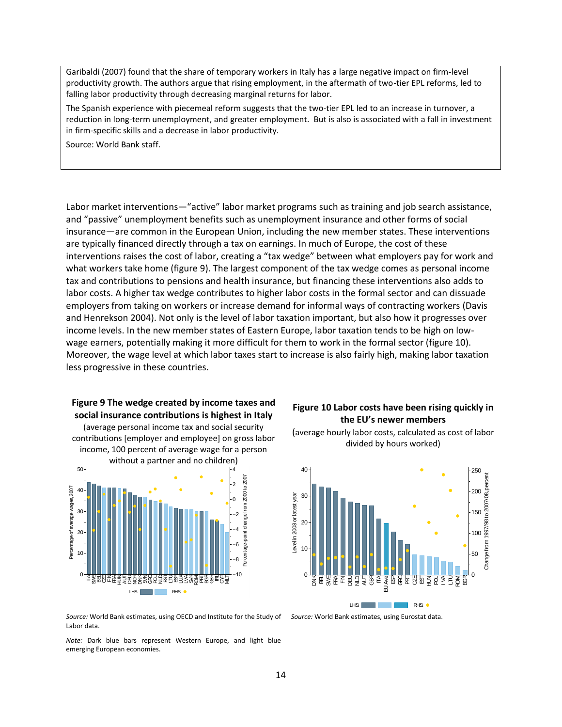Garibaldi (2007) found that the share of temporary workers in Italy has a large negative impact on firm-level productivity growth. The authors argue that rising employment, in the aftermath of two-tier EPL reforms, led to falling labor productivity through decreasing marginal returns for labor.

The Spanish experience with piecemeal reform suggests that the two-tier EPL led to an increase in turnover, a reduction in long-term unemployment, and greater employment. But is also is associated with a fall in investment in firm-specific skills and a decrease in labor productivity.

Source: World Bank staff.

Labor market interventions—"active" labor market programs such as training and job search assistance, and "passive" unemployment benefits such as unemployment insurance and other forms of social insurance—are common in the European Union, including the new member states. These interventions are typically financed directly through a tax on earnings. In much of Europe, the cost of these interventions raises the cost of labor, creating a "tax wedge" between what employers pay for work and what workers take home (figure 9). The largest component of the tax wedge comes as personal income tax and contributions to pensions and health insurance, but financing these interventions also adds to labor costs. A higher tax wedge contributes to higher labor costs in the formal sector and can dissuade employers from taking on workers or increase demand for informal ways of contracting workers (Davis and Henrekson 2004). Not only is the level of labor taxation important, but also how it progresses over income levels. In the new member states of Eastern Europe, labor taxation tends to be high on lowwage earners, potentially making it more difficult for them to work in the formal sector (figure 10). Moreover, the wage level at which labor taxes start to increase is also fairly high, making labor taxation less progressive in these countries.

# **Figure 9 The wedge created by income taxes and social insurance contributions is highest in Italy**

(average personal income tax and social security contributions [employer and employee] on gross labor income, 100 percent of average wage for a person without a partner and no children)



#### **Figure 10 Labor costs have been rising quickly in the EU's newer members**





*Source:* World Bank estimates, using OECD and Institute for the Study of *Source:* World Bank estimates, using Eurostat data. Labor data.

*Note:* Dark blue bars represent Western Europe, and light blue emerging European economies.

14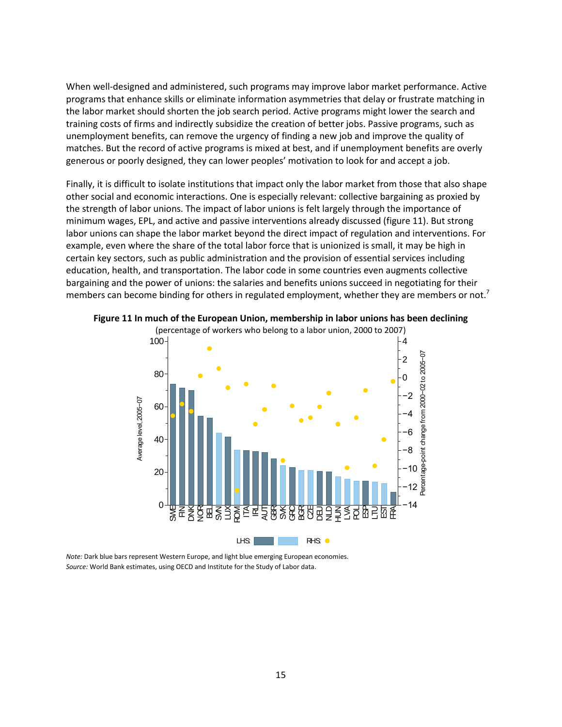When well-designed and administered, such programs may improve labor market performance. Active programs that enhance skills or eliminate information asymmetries that delay or frustrate matching in the labor market should shorten the job search period. Active programs might lower the search and training costs of firms and indirectly subsidize the creation of better jobs. Passive programs, such as unemployment benefits, can remove the urgency of finding a new job and improve the quality of matches. But the record of active programs is mixed at best, and if unemployment benefits are overly generous or poorly designed, they can lower peoples' motivation to look for and accept a job.

Finally, it is difficult to isolate institutions that impact only the labor market from those that also shape other social and economic interactions. One is especially relevant: collective bargaining as proxied by the strength of labor unions. The impact of labor unions is felt largely through the importance of minimum wages, EPL, and active and passive interventions already discussed (figure 11). But strong labor unions can shape the labor market beyond the direct impact of regulation and interventions. For example, even where the share of the total labor force that is unionized is small, it may be high in certain key sectors, such as public administration and the provision of essential services including education, health, and transportation. The labor code in some countries even augments collective bargaining and the power of unions: the salaries and benefits unions succeed in negotiating for their members can become binding for others in regulated employment, whether they are members or not.<sup>7</sup>



**Figure 11 In much of the European Union, membership in labor unions has been declining**

*Note:* Dark blue bars represent Western Europe, and light blue emerging European economies. *Source:* World Bank estimates, using OECD and Institute for the Study of Labor data.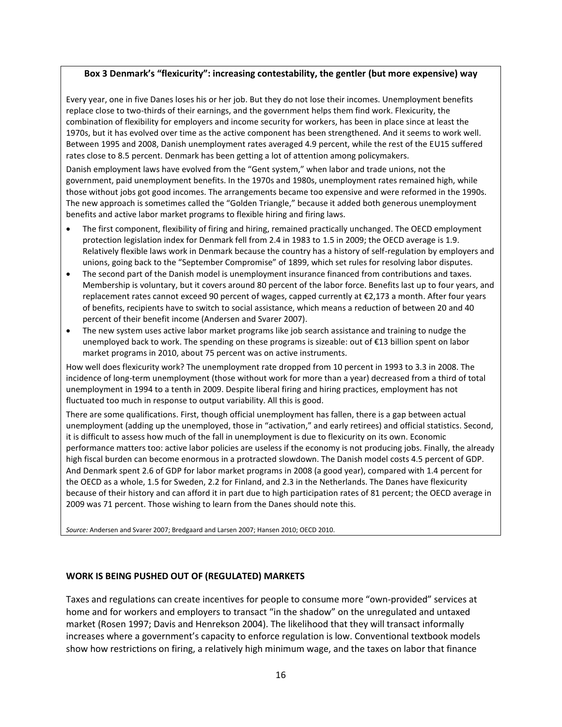#### **Box 3 Denmark's "flexicurity": increasing contestability, the gentler (but more expensive) way**

Every year, one in five Danes loses his or her job. But they do not lose their incomes. Unemployment benefits replace close to two-thirds of their earnings, and the government helps them find work. Flexicurity, the combination of flexibility for employers and income security for workers, has been in place since at least the 1970s, but it has evolved over time as the active component has been strengthened. And it seems to work well. Between 1995 and 2008, Danish unemployment rates averaged 4.9 percent, while the rest of the EU15 suffered rates close to 8.5 percent. Denmark has been getting a lot of attention among policymakers.

Danish employment laws have evolved from the "Gent system," when labor and trade unions, not the government, paid unemployment benefits. In the 1970s and 1980s, unemployment rates remained high, while those without jobs got good incomes. The arrangements became too expensive and were reformed in the 1990s. The new approach is sometimes called the "Golden Triangle," because it added both generous unemployment benefits and active labor market programs to flexible hiring and firing laws.

- The first component, flexibility of firing and hiring, remained practically unchanged. The OECD employment protection legislation index for Denmark fell from 2.4 in 1983 to 1.5 in 2009; the OECD average is 1.9. Relatively flexible laws work in Denmark because the country has a history of self-regulation by employers and unions, going back to the "September Compromise" of 1899, which set rules for resolving labor disputes.
- The second part of the Danish model is unemployment insurance financed from contributions and taxes. Membership is voluntary, but it covers around 80 percent of the labor force. Benefits last up to four years, and replacement rates cannot exceed 90 percent of wages, capped currently at €2,173 a month. After four years of benefits, recipients have to switch to social assistance, which means a reduction of between 20 and 40 percent of their benefit income (Andersen and Svarer 2007).
- The new system uses active labor market programs like job search assistance and training to nudge the unemployed back to work. The spending on these programs is sizeable: out of €13 billion spent on labor market programs in 2010, about 75 percent was on active instruments.

How well does flexicurity work? The unemployment rate dropped from 10 percent in 1993 to 3.3 in 2008. The incidence of long-term unemployment (those without work for more than a year) decreased from a third of total unemployment in 1994 to a tenth in 2009. Despite liberal firing and hiring practices, employment has not fluctuated too much in response to output variability. All this is good.

There are some qualifications. First, though official unemployment has fallen, there is a gap between actual unemployment (adding up the unemployed, those in "activation," and early retirees) and official statistics. Second, it is difficult to assess how much of the fall in unemployment is due to flexicurity on its own. Economic performance matters too: active labor policies are useless if the economy is not producing jobs. Finally, the already high fiscal burden can become enormous in a protracted slowdown. The Danish model costs 4.5 percent of GDP. And Denmark spent 2.6 of GDP for labor market programs in 2008 (a good year), compared with 1.4 percent for the OECD as a whole, 1.5 for Sweden, 2.2 for Finland, and 2.3 in the Netherlands. The Danes have flexicurity because of their history and can afford it in part due to high participation rates of 81 percent; the OECD average in 2009 was 71 percent. Those wishing to learn from the Danes should note this.

*Source:* Andersen and Svarer 2007; Bredgaard and Larsen 2007; Hansen 2010; OECD 2010.

#### **WORK IS BEING PUSHED OUT OF (REGULATED) MARKETS**

Taxes and regulations can create incentives for people to consume more "own-provided" services at home and for workers and employers to transact "in the shadow" on the unregulated and untaxed market (Rosen 1997; Davis and Henrekson 2004). The likelihood that they will transact informally increases where a government's capacity to enforce regulation is low. Conventional textbook models show how restrictions on firing, a relatively high minimum wage, and the taxes on labor that finance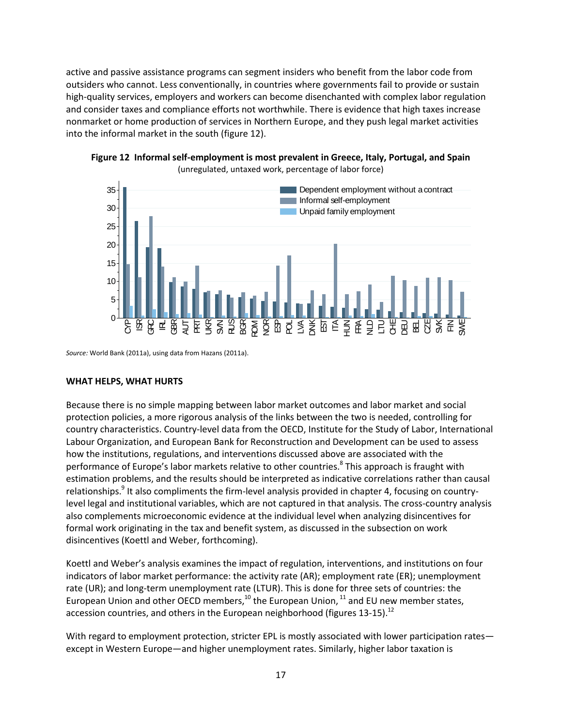active and passive assistance programs can segment insiders who benefit from the labor code from outsiders who cannot. Less conventionally, in countries where governments fail to provide or sustain high-quality services, employers and workers can become disenchanted with complex labor regulation and consider taxes and compliance efforts not worthwhile. There is evidence that high taxes increase nonmarket or home production of services in Northern Europe, and they push legal market activities into the informal market in the south (figure 12).



**Figure 12 Informal self-employment is most prevalent in Greece, Italy, Portugal, and Spain** (unregulated, untaxed work, percentage of labor force)

*Source:* World Bank (2011a), using data from Hazans (2011a).

#### **WHAT HELPS, WHAT HURTS**

Because there is no simple mapping between labor market outcomes and labor market and social protection policies, a more rigorous analysis of the links between the two is needed, controlling for country characteristics. Country-level data from the OECD, Institute for the Study of Labor, International Labour Organization, and European Bank for Reconstruction and Development can be used to assess how the institutions, regulations, and interventions discussed above are associated with the performance of Europe's labor markets relative to other countries.<sup>8</sup> This approach is fraught with estimation problems, and the results should be interpreted as indicative correlations rather than causal relationships.<sup>9</sup> It also compliments the firm-level analysis provided in chapter 4, focusing on countrylevel legal and institutional variables, which are not captured in that analysis. The cross-country analysis also complements microeconomic evidence at the individual level when analyzing disincentives for formal work originating in the tax and benefit system, as discussed in the subsection on work disincentives (Koettl and Weber, forthcoming).

Koettl and Weber's analysis examines the impact of regulation, interventions, and institutions on four indicators of labor market performance: the activity rate (AR); employment rate (ER); unemployment rate (UR); and long-term unemployment rate (LTUR). This is done for three sets of countries: the European Union and other OECD members, $^{10}$  the European Union,  $^{11}$  and EU new member states, accession countries, and others in the European neighborhood (figures 13-15).<sup>12</sup>

With regard to employment protection, stricter EPL is mostly associated with lower participation rates except in Western Europe—and higher unemployment rates. Similarly, higher labor taxation is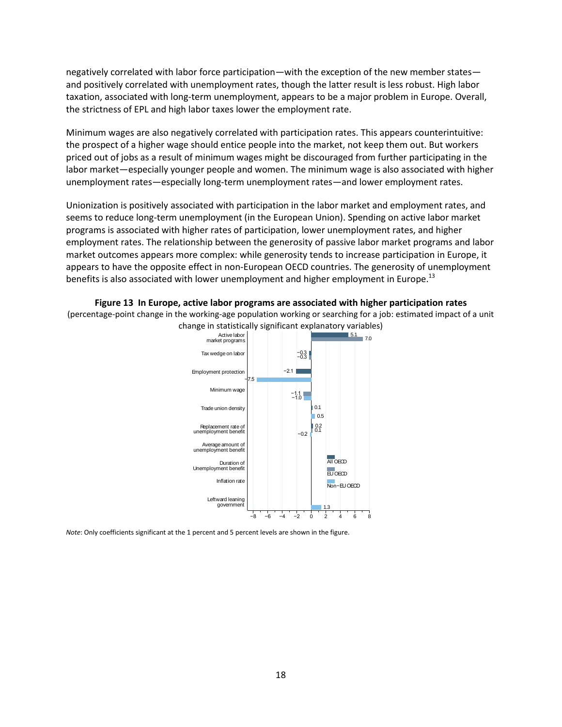negatively correlated with labor force participation—with the exception of the new member states and positively correlated with unemployment rates, though the latter result is less robust. High labor taxation, associated with long-term unemployment, appears to be a major problem in Europe. Overall, the strictness of EPL and high labor taxes lower the employment rate.

Minimum wages are also negatively correlated with participation rates. This appears counterintuitive: the prospect of a higher wage should entice people into the market, not keep them out. But workers priced out of jobs as a result of minimum wages might be discouraged from further participating in the labor market—especially younger people and women. The minimum wage is also associated with higher unemployment rates—especially long-term unemployment rates—and lower employment rates.

Unionization is positively associated with participation in the labor market and employment rates, and seems to reduce long-term unemployment (in the European Union). Spending on active labor market programs is associated with higher rates of participation, lower unemployment rates, and higher employment rates. The relationship between the generosity of passive labor market programs and labor market outcomes appears more complex: while generosity tends to increase participation in Europe, it appears to have the opposite effect in non-European OECD countries. The generosity of unemployment benefits is also associated with lower unemployment and higher employment in Europe.<sup>13</sup>

**Figure 13 In Europe, active labor programs are associated with higher participation rates** (percentage-point change in the working-age population working or searching for a job: estimated impact of a unit change in statistically significant explanatory variables)



*Note*: Only coefficients significant at the 1 percent and 5 percent levels are shown in the figure.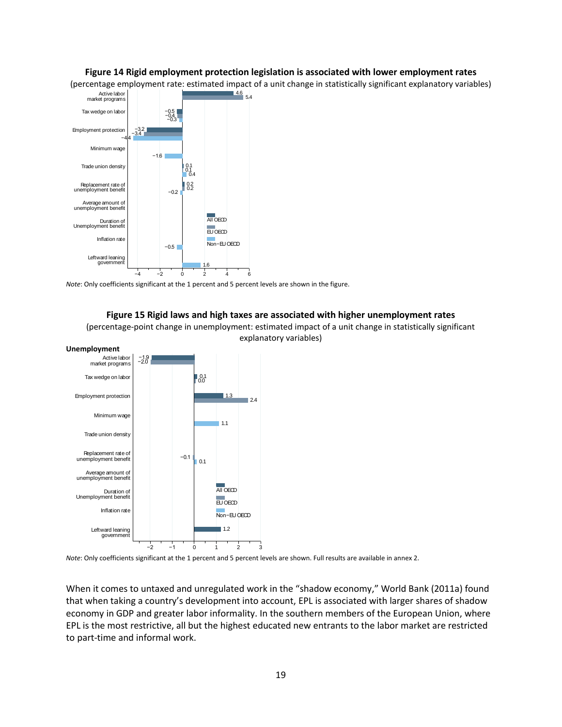#### **Figure 14 Rigid employment protection legislation is associated with lower employment rates**

(percentage employment rate: estimated impact of a unit change in statistically significant explanatory variables)



*Note*: Only coefficients significant at the 1 percent and 5 percent levels are shown in the figure.

#### **Figure 15 Rigid laws and high taxes are associated with higher unemployment rates**

(percentage-point change in unemployment: estimated impact of a unit change in statistically significant explanatory variables)





*Note*: Only coefficients significant at the 1 percent and 5 percent levels are shown. Full results are available in annex 2.

When it comes to untaxed and unregulated work in the "shadow economy," World Bank (2011a) found that when taking a country's development into account, EPL is associated with larger shares of shadow economy in GDP and greater labor informality. In the southern members of the European Union, where EPL is the most restrictive, all but the highest educated new entrants to the labor market are restricted to part-time and informal work.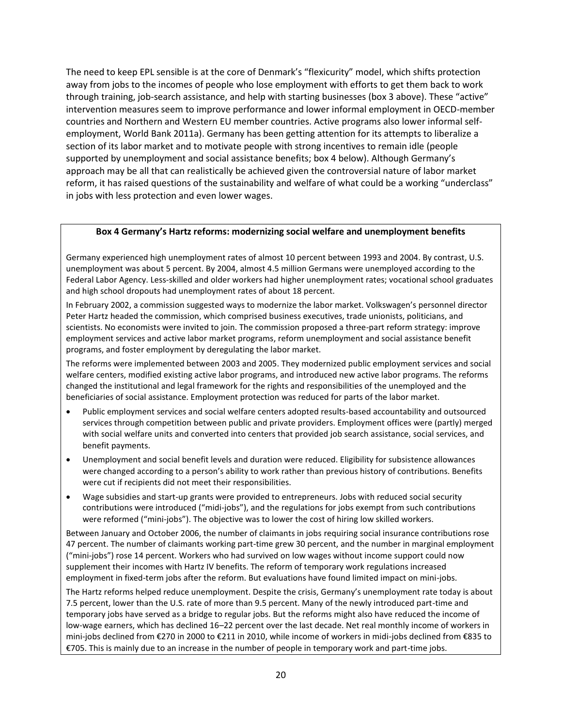The need to keep EPL sensible is at the core of Denmark's "flexicurity" model, which shifts protection away from jobs to the incomes of people who lose employment with efforts to get them back to work through training, job-search assistance, and help with starting businesses (box 3 above). These "active" intervention measures seem to improve performance and lower informal employment in OECD-member countries and Northern and Western EU member countries. Active programs also lower informal selfemployment, World Bank 2011a). Germany has been getting attention for its attempts to liberalize a section of its labor market and to motivate people with strong incentives to remain idle (people supported by unemployment and social assistance benefits; box 4 below). Although Germany's approach may be all that can realistically be achieved given the controversial nature of labor market reform, it has raised questions of the sustainability and welfare of what could be a working "underclass" in jobs with less protection and even lower wages.

#### **Box 4 Germany's Hartz reforms: modernizing social welfare and unemployment benefits**

Germany experienced high unemployment rates of almost 10 percent between 1993 and 2004. By contrast, U.S. unemployment was about 5 percent. By 2004, almost 4.5 million Germans were unemployed according to the Federal Labor Agency. Less-skilled and older workers had higher unemployment rates; vocational school graduates and high school dropouts had unemployment rates of about 18 percent.

In February 2002, a commission suggested ways to modernize the labor market. Volkswagen's personnel director Peter Hartz headed the commission, which comprised business executives, trade unionists, politicians, and scientists. No economists were invited to join. The commission proposed a three-part reform strategy: improve employment services and active labor market programs, reform unemployment and social assistance benefit programs, and foster employment by deregulating the labor market.

The reforms were implemented between 2003 and 2005. They modernized public employment services and social welfare centers, modified existing active labor programs, and introduced new active labor programs. The reforms changed the institutional and legal framework for the rights and responsibilities of the unemployed and the beneficiaries of social assistance. Employment protection was reduced for parts of the labor market.

- Public employment services and social welfare centers adopted results-based accountability and outsourced services through competition between public and private providers. Employment offices were (partly) merged with social welfare units and converted into centers that provided job search assistance, social services, and benefit payments.
- Unemployment and social benefit levels and duration were reduced. Eligibility for subsistence allowances were changed according to a person's ability to work rather than previous history of contributions. Benefits were cut if recipients did not meet their responsibilities.
- Wage subsidies and start-up grants were provided to entrepreneurs. Jobs with reduced social security contributions were introduced ("midi-jobs"), and the regulations for jobs exempt from such contributions were reformed ("mini-jobs"). The objective was to lower the cost of hiring low skilled workers.

Between January and October 2006, the number of claimants in jobs requiring social insurance contributions rose 47 percent. The number of claimants working part-time grew 30 percent, and the number in marginal employment ("mini-jobs") rose 14 percent. Workers who had survived on low wages without income support could now supplement their incomes with Hartz IV benefits. The reform of temporary work regulations increased employment in fixed-term jobs after the reform. But evaluations have found limited impact on mini-jobs.

The Hartz reforms helped reduce unemployment. Despite the crisis, Germany's unemployment rate today is about 7.5 percent, lower than the U.S. rate of more than 9.5 percent. Many of the newly introduced part-time and temporary jobs have served as a bridge to regular jobs. But the reforms might also have reduced the income of low-wage earners, which has declined 16–22 percent over the last decade. Net real monthly income of workers in mini-jobs declined from €270 in 2000 to €211 in 2010, while income of workers in midi-jobs declined from €835 to €705. This is mainly due to an increase in the number of people in temporary work and part-time jobs.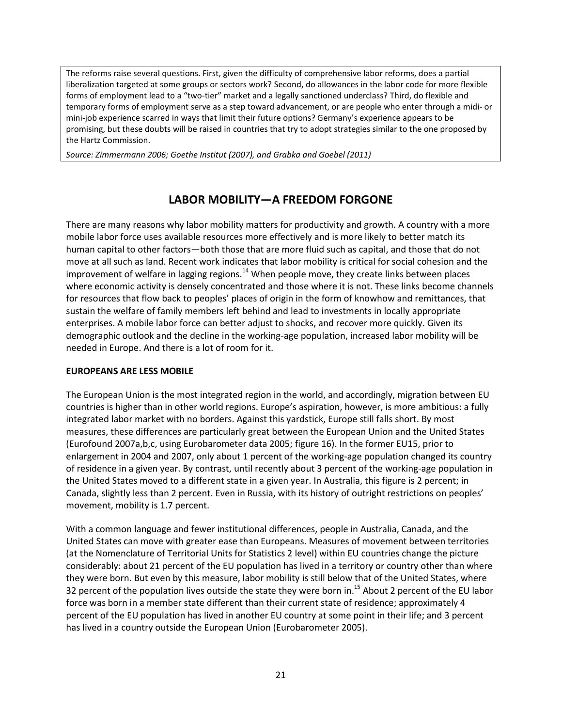The reforms raise several questions. First, given the difficulty of comprehensive labor reforms, does a partial liberalization targeted at some groups or sectors work? Second, do allowances in the labor code for more flexible forms of employment lead to a "two-tier" market and a legally sanctioned underclass? Third, do flexible and temporary forms of employment serve as a step toward advancement, or are people who enter through a midi- or mini-job experience scarred in ways that limit their future options? Germany's experience appears to be promising, but these doubts will be raised in countries that try to adopt strategies similar to the one proposed by the Hartz Commission.

*Source: Zimmermann 2006; Goethe Institut (2007), and Grabka and Goebel (2011)*

# **LABOR MOBILITY—A FREEDOM FORGONE**

There are many reasons why labor mobility matters for productivity and growth. A country with a more mobile labor force uses available resources more effectively and is more likely to better match its human capital to other factors—both those that are more fluid such as capital, and those that do not move at all such as land. Recent work indicates that labor mobility is critical for social cohesion and the improvement of welfare in lagging regions.<sup>14</sup> When people move, they create links between places where economic activity is densely concentrated and those where it is not. These links become channels for resources that flow back to peoples' places of origin in the form of knowhow and remittances, that sustain the welfare of family members left behind and lead to investments in locally appropriate enterprises. A mobile labor force can better adjust to shocks, and recover more quickly. Given its demographic outlook and the decline in the working-age population, increased labor mobility will be needed in Europe. And there is a lot of room for it.

#### **EUROPEANS ARE LESS MOBILE**

The European Union is the most integrated region in the world, and accordingly, migration between EU countries is higher than in other world regions. Europe's aspiration, however, is more ambitious: a fully integrated labor market with no borders. Against this yardstick, Europe still falls short. By most measures, these differences are particularly great between the European Union and the United States (Eurofound 2007a,b,c, using Eurobarometer data 2005; figure 16). In the former EU15, prior to enlargement in 2004 and 2007, only about 1 percent of the working-age population changed its country of residence in a given year. By contrast, until recently about 3 percent of the working-age population in the United States moved to a different state in a given year. In Australia, this figure is 2 percent; in Canada, slightly less than 2 percent. Even in Russia, with its history of outright restrictions on peoples' movement, mobility is 1.7 percent.

With a common language and fewer institutional differences, people in Australia, Canada, and the United States can move with greater ease than Europeans. Measures of movement between territories (at the Nomenclature of Territorial Units for Statistics 2 level) within EU countries change the picture considerably: about 21 percent of the EU population has lived in a territory or country other than where they were born. But even by this measure, labor mobility is still below that of the United States, where 32 percent of the population lives outside the state they were born in.<sup>15</sup> About 2 percent of the EU labor force was born in a member state different than their current state of residence; approximately 4 percent of the EU population has lived in another EU country at some point in their life; and 3 percent has lived in a country outside the European Union (Eurobarometer 2005).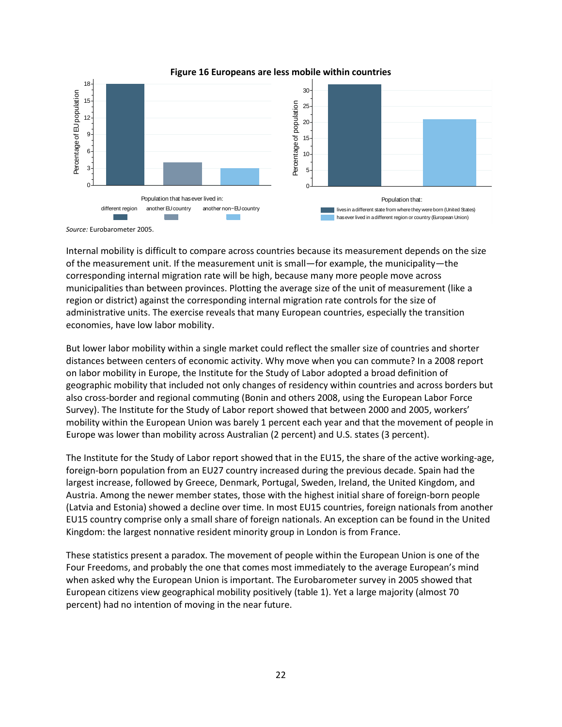

**Figure 16 Europeans are less mobile within countries**

*Source:* Eurobarometer 2005.

Internal mobility is difficult to compare across countries because its measurement depends on the size of the measurement unit. If the measurement unit is small—for example, the municipality—the corresponding internal migration rate will be high, because many more people move across municipalities than between provinces. Plotting the average size of the unit of measurement (like a region or district) against the corresponding internal migration rate controls for the size of administrative units. The exercise reveals that many European countries, especially the transition economies, have low labor mobility.

But lower labor mobility within a single market could reflect the smaller size of countries and shorter distances between centers of economic activity. Why move when you can commute? In a 2008 report on labor mobility in Europe, the Institute for the Study of Labor adopted a broad definition of geographic mobility that included not only changes of residency within countries and across borders but also cross-border and regional commuting (Bonin and others 2008, using the European Labor Force Survey). The Institute for the Study of Labor report showed that between 2000 and 2005, workers' mobility within the European Union was barely 1 percent each year and that the movement of people in Europe was lower than mobility across Australian (2 percent) and U.S. states (3 percent).

The Institute for the Study of Labor report showed that in the EU15, the share of the active working-age, foreign-born population from an EU27 country increased during the previous decade. Spain had the largest increase, followed by Greece, Denmark, Portugal, Sweden, Ireland, the United Kingdom, and Austria. Among the newer member states, those with the highest initial share of foreign-born people (Latvia and Estonia) showed a decline over time. In most EU15 countries, foreign nationals from another EU15 country comprise only a small share of foreign nationals. An exception can be found in the United Kingdom: the largest nonnative resident minority group in London is from France.

These statistics present a paradox. The movement of people within the European Union is one of the Four Freedoms, and probably the one that comes most immediately to the average European's mind when asked why the European Union is important. The Eurobarometer survey in 2005 showed that European citizens view geographical mobility positively (table 1). Yet a large majority (almost 70 percent) had no intention of moving in the near future.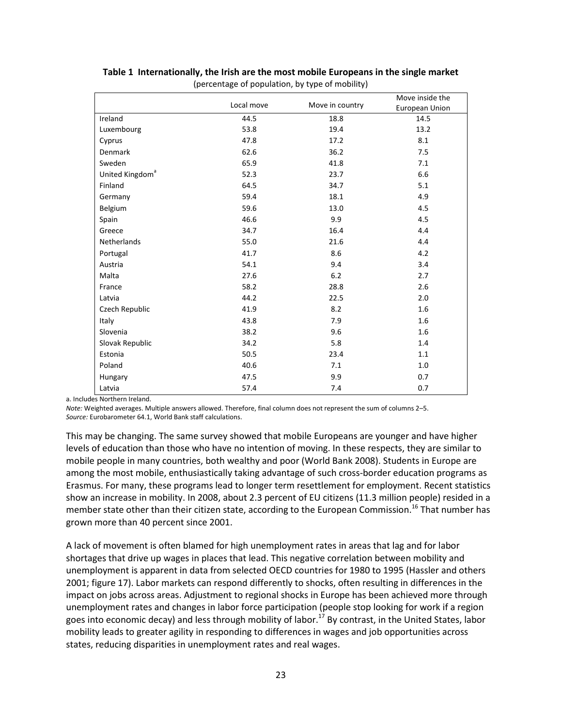|                             | Local move | Move in country | Move inside the<br>European Union |
|-----------------------------|------------|-----------------|-----------------------------------|
| Ireland                     | 44.5       | 18.8            | 14.5                              |
| Luxembourg                  | 53.8       | 19.4            | 13.2                              |
| Cyprus                      | 47.8       | 17.2            | 8.1                               |
| Denmark                     | 62.6       | 36.2            | 7.5                               |
| Sweden                      | 65.9       | 41.8            | 7.1                               |
| United Kingdom <sup>a</sup> | 52.3       | 23.7            | 6.6                               |
| Finland                     | 64.5       | 34.7            | 5.1                               |
| Germany                     | 59.4       | 18.1            | 4.9                               |
| Belgium                     | 59.6       | 13.0            | 4.5                               |
| Spain                       | 46.6       | 9.9             | 4.5                               |
| Greece                      | 34.7       | 16.4            | 4.4                               |
| Netherlands                 | 55.0       | 21.6            | 4.4                               |
| Portugal                    | 41.7       | 8.6             | 4.2                               |
| Austria                     | 54.1       | 9.4             | 3.4                               |
| Malta                       | 27.6       | 6.2             | 2.7                               |
| France                      | 58.2       | 28.8            | 2.6                               |
| Latvia                      | 44.2       | 22.5            | 2.0                               |
| Czech Republic              | 41.9       | 8.2             | 1.6                               |
| Italy                       | 43.8       | 7.9             | 1.6                               |
| Slovenia                    | 38.2       | 9.6             | 1.6                               |
| Slovak Republic             | 34.2       | 5.8             | 1.4                               |
| Estonia                     | 50.5       | 23.4            | 1.1                               |
| Poland                      | 40.6       | 7.1             | 1.0                               |
| Hungary                     | 47.5       | 9.9             | 0.7                               |
| Latvia                      | 57.4       | 7.4             | 0.7                               |

#### **Table 1 Internationally, the Irish are the most mobile Europeans in the single market** (percentage of population, by type of mobility)

a. Includes Northern Ireland.

*Note:* Weighted averages. Multiple answers allowed. Therefore, final column does not represent the sum of columns 2–5. *Source:* Eurobarometer 64.1, World Bank staff calculations.

This may be changing. The same survey showed that mobile Europeans are younger and have higher levels of education than those who have no intention of moving. In these respects, they are similar to mobile people in many countries, both wealthy and poor (World Bank 2008). Students in Europe are among the most mobile, enthusiastically taking advantage of such cross-border education programs as Erasmus. For many, these programs lead to longer term resettlement for employment. Recent statistics show an increase in mobility. In 2008, about 2.3 percent of EU citizens (11.3 million people) resided in a member state other than their citizen state, according to the European Commission.<sup>16</sup> That number has grown more than 40 percent since 2001.

A lack of movement is often blamed for high unemployment rates in areas that lag and for labor shortages that drive up wages in places that lead. This negative correlation between mobility and unemployment is apparent in data from selected OECD countries for 1980 to 1995 (Hassler and others 2001; figure 17). Labor markets can respond differently to shocks, often resulting in differences in the impact on jobs across areas. Adjustment to regional shocks in Europe has been achieved more through unemployment rates and changes in labor force participation (people stop looking for work if a region goes into economic decay) and less through mobility of labor.<sup>17</sup> By contrast, in the United States, labor mobility leads to greater agility in responding to differences in wages and job opportunities across states, reducing disparities in unemployment rates and real wages.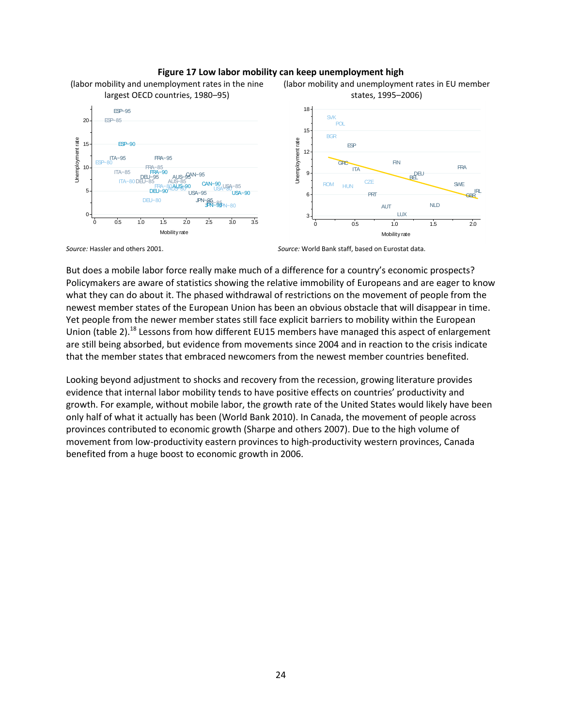#### **Figure 17 Low labor mobility can keep unemployment high**



*Source:* Hassler and others 2001. *Source:* World Bank staff, based on Eurostat data.

But does a mobile labor force really make much of a difference for a country's economic prospects? Policymakers are aware of statistics showing the relative immobility of Europeans and are eager to know what they can do about it. The phased withdrawal of restrictions on the movement of people from the newest member states of the European Union has been an obvious obstacle that will disappear in time. Yet people from the newer member states still face explicit barriers to mobility within the European Union (table 2).<sup>18</sup> Lessons from how different EU15 members have managed this aspect of enlargement are still being absorbed, but evidence from movements since 2004 and in reaction to the crisis indicate that the member states that embraced newcomers from the newest member countries benefited.

Looking beyond adjustment to shocks and recovery from the recession, growing literature provides evidence that internal labor mobility tends to have positive effects on countries' productivity and growth. For example, without mobile labor, the growth rate of the United States would likely have been only half of what it actually has been (World Bank 2010). In Canada, the movement of people across provinces contributed to economic growth (Sharpe and others 2007). Due to the high volume of movement from low-productivity eastern provinces to high-productivity western provinces, Canada benefited from a huge boost to economic growth in 2006.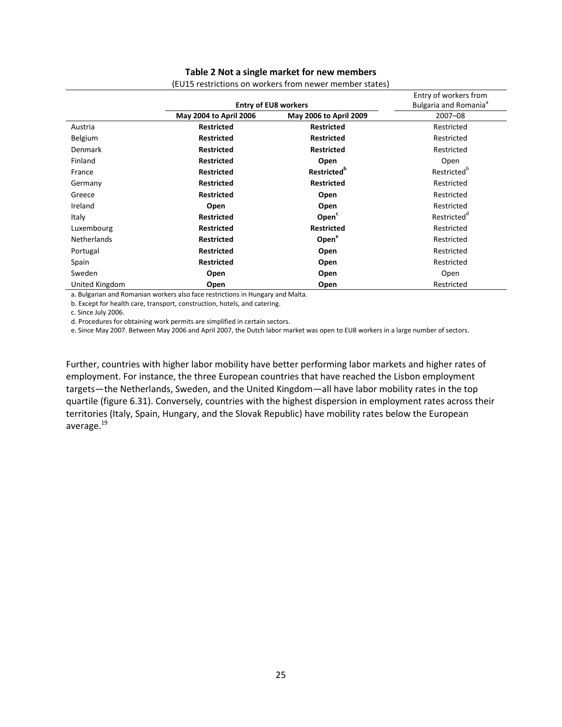#### **Table 2 Not a single market for new members**

|                    |                        |                                | Entry of workers from             |
|--------------------|------------------------|--------------------------------|-----------------------------------|
|                    |                        | <b>Entry of EU8 workers</b>    | Bulgaria and Romania <sup>a</sup> |
|                    | May 2004 to April 2006 | May 2006 to April 2009         | $2007 - 08$                       |
| Austria            | <b>Restricted</b>      | <b>Restricted</b>              | Restricted                        |
| Belgium            | <b>Restricted</b>      | <b>Restricted</b>              | Restricted                        |
| Denmark            | <b>Restricted</b>      | <b>Restricted</b>              | Restricted                        |
| Finland            | <b>Restricted</b>      | Open                           | Open                              |
| France             | <b>Restricted</b>      | <b>Restricted</b> <sup>p</sup> | Restricted <sup>o</sup>           |
| Germany            | <b>Restricted</b>      | <b>Restricted</b>              | Restricted                        |
| Greece             | <b>Restricted</b>      | Open                           | Restricted                        |
| Ireland            | Open                   | Open                           | Restricted                        |
| Italy              | <b>Restricted</b>      | Open <sup>c</sup>              | Restricted <sup>d</sup>           |
| Luxembourg         | <b>Restricted</b>      | <b>Restricted</b>              | Restricted                        |
| <b>Netherlands</b> | <b>Restricted</b>      | Open <sup>e</sup>              | Restricted                        |
| Portugal           | <b>Restricted</b>      | Open                           | Restricted                        |
| Spain              | <b>Restricted</b>      | Open                           | Restricted                        |
| Sweden             | Open                   | Open                           | Open                              |
| United Kingdom     | Open                   | Open                           | Restricted                        |

(EU15 restrictions on workers from newer member states)

a. Bulgarian and Romanian workers also face restrictions in Hungary and Malta.

b. Except for health care, transport, construction, hotels, and catering.

c. Since July 2006.

d. Procedures for obtaining work permits are simplified in certain sectors.

e. Since May 2007. Between May 2006 and April 2007, the Dutch labor market was open to EU8 workers in a large number of sectors.

Further, countries with higher labor mobility have better performing labor markets and higher rates of employment. For instance, the three European countries that have reached the Lisbon employment targets—the Netherlands, Sweden, and the United Kingdom—all have labor mobility rates in the top quartile (figure 6.31). Conversely, countries with the highest dispersion in employment rates across their territories (Italy, Spain, Hungary, and the Slovak Republic) have mobility rates below the European average.<sup>19</sup>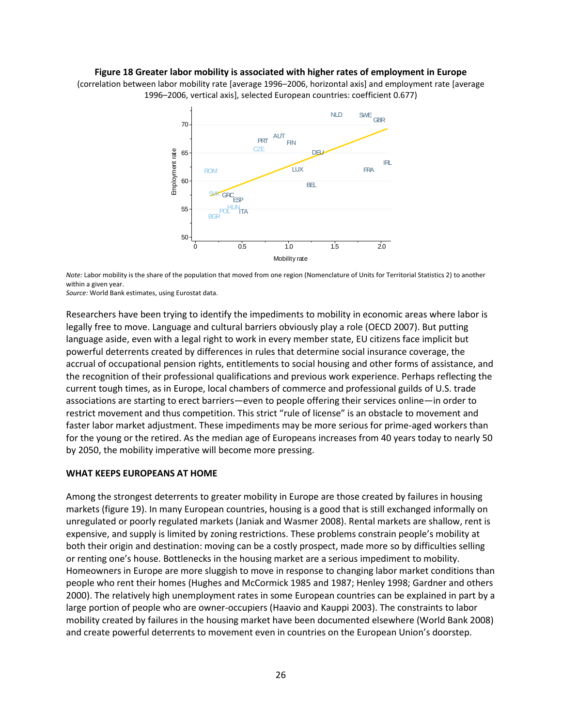#### **Figure 18 Greater labor mobility is associated with higher rates of employment in Europe**

(correlation between labor mobility rate [average 1996–2006, horizontal axis] and employment rate [average 1996–2006, vertical axis], selected European countries: coefficient 0.677)



*Note:* Labor mobility is the share of the population that moved from one region (Nomenclature of Units for Territorial Statistics 2) to another within a given year.

*Source:* World Bank estimates, using Eurostat data.

Researchers have been trying to identify the impediments to mobility in economic areas where labor is legally free to move. Language and cultural barriers obviously play a role (OECD 2007). But putting language aside, even with a legal right to work in every member state, EU citizens face implicit but powerful deterrents created by differences in rules that determine social insurance coverage, the accrual of occupational pension rights, entitlements to social housing and other forms of assistance, and the recognition of their professional qualifications and previous work experience. Perhaps reflecting the current tough times, as in Europe, local chambers of commerce and professional guilds of U.S. trade associations are starting to erect barriers—even to people offering their services online—in order to restrict movement and thus competition. This strict "rule of license" is an obstacle to movement and faster labor market adjustment. These impediments may be more serious for prime-aged workers than for the young or the retired. As the median age of Europeans increases from 40 years today to nearly 50 by 2050, the mobility imperative will become more pressing.

#### **WHAT KEEPS EUROPEANS AT HOME**

Among the strongest deterrents to greater mobility in Europe are those created by failures in housing markets (figure 19). In many European countries, housing is a good that is still exchanged informally on unregulated or poorly regulated markets (Janiak and Wasmer 2008). Rental markets are shallow, rent is expensive, and supply is limited by zoning restrictions. These problems constrain people's mobility at both their origin and destination: moving can be a costly prospect, made more so by difficulties selling or renting one's house. Bottlenecks in the housing market are a serious impediment to mobility. Homeowners in Europe are more sluggish to move in response to changing labor market conditions than people who rent their homes (Hughes and McCormick 1985 and 1987; Henley 1998; Gardner and others 2000). The relatively high unemployment rates in some European countries can be explained in part by a large portion of people who are owner-occupiers (Haavio and Kauppi 2003). The constraints to labor mobility created by failures in the housing market have been documented elsewhere (World Bank 2008) and create powerful deterrents to movement even in countries on the European Union's doorstep.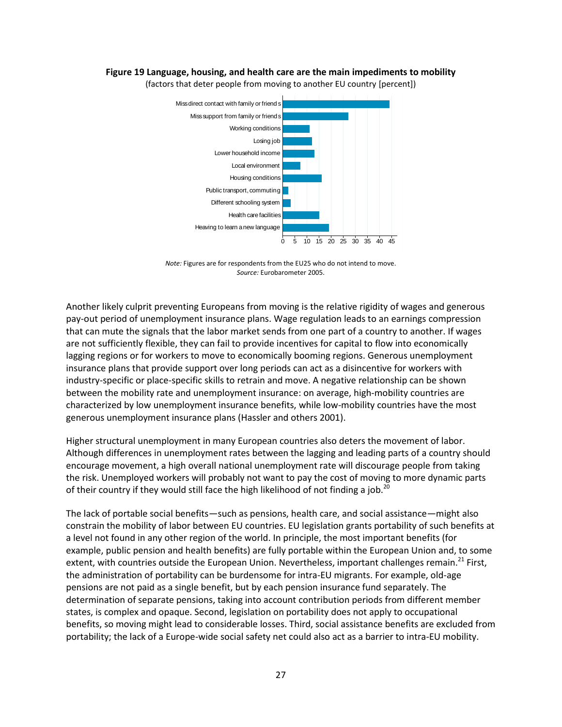#### **Figure 19 Language, housing, and health care are the main impediments to mobility**



(factors that deter people from moving to another EU country [percent])

*Note:* Figures are for respondents from the EU25 who do not intend to move. *Source:* Eurobarometer 2005.

Another likely culprit preventing Europeans from moving is the relative rigidity of wages and generous pay-out period of unemployment insurance plans. Wage regulation leads to an earnings compression that can mute the signals that the labor market sends from one part of a country to another. If wages are not sufficiently flexible, they can fail to provide incentives for capital to flow into economically lagging regions or for workers to move to economically booming regions. Generous unemployment insurance plans that provide support over long periods can act as a disincentive for workers with industry-specific or place-specific skills to retrain and move. A negative relationship can be shown between the mobility rate and unemployment insurance: on average, high-mobility countries are characterized by low unemployment insurance benefits, while low-mobility countries have the most generous unemployment insurance plans (Hassler and others 2001).

Higher structural unemployment in many European countries also deters the movement of labor. Although differences in unemployment rates between the lagging and leading parts of a country should encourage movement, a high overall national unemployment rate will discourage people from taking the risk. Unemployed workers will probably not want to pay the cost of moving to more dynamic parts of their country if they would still face the high likelihood of not finding a job.<sup>20</sup>

The lack of portable social benefits—such as pensions, health care, and social assistance—might also constrain the mobility of labor between EU countries. EU legislation grants portability of such benefits at a level not found in any other region of the world. In principle, the most important benefits (for example, public pension and health benefits) are fully portable within the European Union and, to some extent, with countries outside the European Union. Nevertheless, important challenges remain.<sup>21</sup> First, the administration of portability can be burdensome for intra-EU migrants. For example, old-age pensions are not paid as a single benefit, but by each pension insurance fund separately. The determination of separate pensions, taking into account contribution periods from different member states, is complex and opaque. Second, legislation on portability does not apply to occupational benefits, so moving might lead to considerable losses. Third, social assistance benefits are excluded from portability; the lack of a Europe-wide social safety net could also act as a barrier to intra-EU mobility.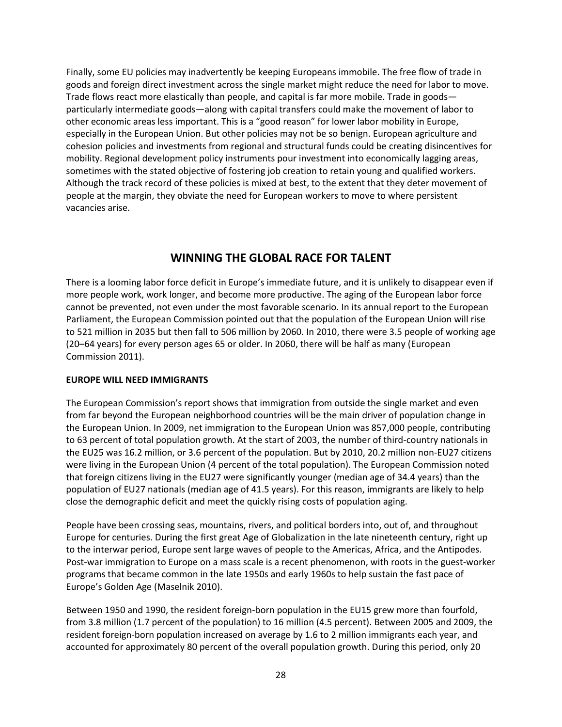Finally, some EU policies may inadvertently be keeping Europeans immobile. The free flow of trade in goods and foreign direct investment across the single market might reduce the need for labor to move. Trade flows react more elastically than people, and capital is far more mobile. Trade in goods particularly intermediate goods—along with capital transfers could make the movement of labor to other economic areas less important. This is a "good reason" for lower labor mobility in Europe, especially in the European Union. But other policies may not be so benign. European agriculture and cohesion policies and investments from regional and structural funds could be creating disincentives for mobility. Regional development policy instruments pour investment into economically lagging areas, sometimes with the stated objective of fostering job creation to retain young and qualified workers. Although the track record of these policies is mixed at best, to the extent that they deter movement of people at the margin, they obviate the need for European workers to move to where persistent vacancies arise.

## **WINNING THE GLOBAL RACE FOR TALENT**

There is a looming labor force deficit in Europe's immediate future, and it is unlikely to disappear even if more people work, work longer, and become more productive. The aging of the European labor force cannot be prevented, not even under the most favorable scenario. In its annual report to the European Parliament, the European Commission pointed out that the population of the European Union will rise to 521 million in 2035 but then fall to 506 million by 2060. In 2010, there were 3.5 people of working age (20–64 years) for every person ages 65 or older. In 2060, there will be half as many (European Commission 2011).

#### **EUROPE WILL NEED IMMIGRANTS**

The European Commission's report shows that immigration from outside the single market and even from far beyond the European neighborhood countries will be the main driver of population change in the European Union. In 2009, net immigration to the European Union was 857,000 people, contributing to 63 percent of total population growth. At the start of 2003, the number of third-country nationals in the EU25 was 16.2 million, or 3.6 percent of the population. But by 2010, 20.2 million non-EU27 citizens were living in the European Union (4 percent of the total population). The European Commission noted that foreign citizens living in the EU27 were significantly younger (median age of 34.4 years) than the population of EU27 nationals (median age of 41.5 years). For this reason, immigrants are likely to help close the demographic deficit and meet the quickly rising costs of population aging.

People have been crossing seas, mountains, rivers, and political borders into, out of, and throughout Europe for centuries. During the first great Age of Globalization in the late nineteenth century, right up to the interwar period, Europe sent large waves of people to the Americas, Africa, and the Antipodes. Post-war immigration to Europe on a mass scale is a recent phenomenon, with roots in the guest-worker programs that became common in the late 1950s and early 1960s to help sustain the fast pace of Europe's Golden Age (Maselnik 2010).

Between 1950 and 1990, the resident foreign-born population in the EU15 grew more than fourfold, from 3.8 million (1.7 percent of the population) to 16 million (4.5 percent). Between 2005 and 2009, the resident foreign-born population increased on average by 1.6 to 2 million immigrants each year, and accounted for approximately 80 percent of the overall population growth. During this period, only 20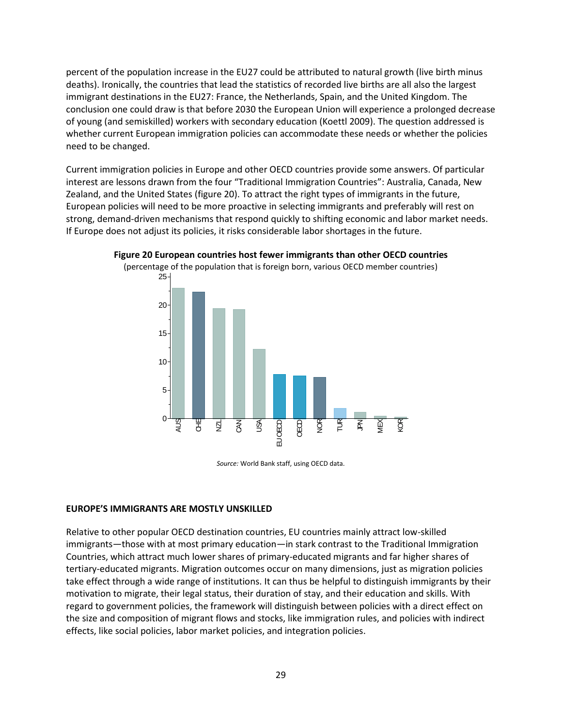percent of the population increase in the EU27 could be attributed to natural growth (live birth minus deaths). Ironically, the countries that lead the statistics of recorded live births are all also the largest immigrant destinations in the EU27: France, the Netherlands, Spain, and the United Kingdom. The conclusion one could draw is that before 2030 the European Union will experience a prolonged decrease of young (and semiskilled) workers with secondary education (Koettl 2009). The question addressed is whether current European immigration policies can accommodate these needs or whether the policies need to be changed.

Current immigration policies in Europe and other OECD countries provide some answers. Of particular interest are lessons drawn from the four "Traditional Immigration Countries": Australia, Canada, New Zealand, and the United States (figure 20). To attract the right types of immigrants in the future, European policies will need to be more proactive in selecting immigrants and preferably will rest on strong, demand-driven mechanisms that respond quickly to shifting economic and labor market needs. If Europe does not adjust its policies, it risks considerable labor shortages in the future.



**Figure 20 European countries host fewer immigrants than other OECD countries**

*Source:* World Bank staff, using OECD data.

#### **EUROPE'S IMMIGRANTS ARE MOSTLY UNSKILLED**

Relative to other popular OECD destination countries, EU countries mainly attract low-skilled immigrants—those with at most primary education—in stark contrast to the Traditional Immigration Countries, which attract much lower shares of primary-educated migrants and far higher shares of tertiary-educated migrants. Migration outcomes occur on many dimensions, just as migration policies take effect through a wide range of institutions. It can thus be helpful to distinguish immigrants by their motivation to migrate, their legal status, their duration of stay, and their education and skills. With regard to government policies, the framework will distinguish between policies with a direct effect on the size and composition of migrant flows and stocks, like immigration rules, and policies with indirect effects, like social policies, labor market policies, and integration policies.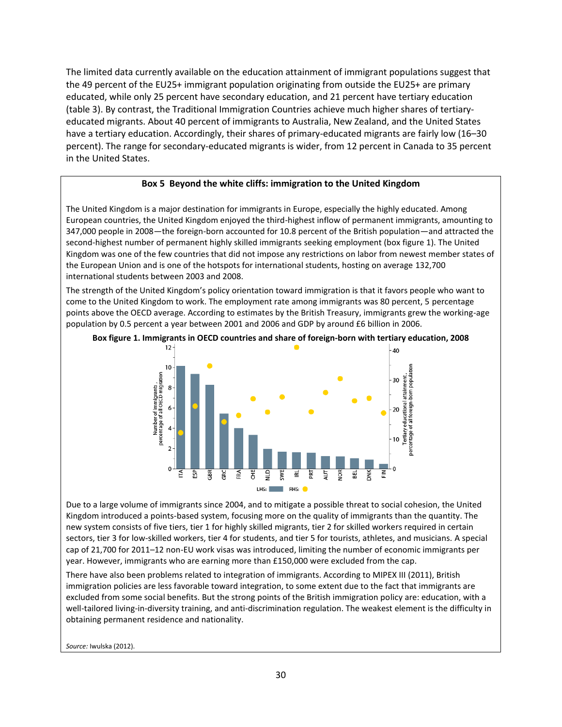The limited data currently available on the education attainment of immigrant populations suggest that the 49 percent of the EU25+ immigrant population originating from outside the EU25+ are primary educated, while only 25 percent have secondary education, and 21 percent have tertiary education (table 3). By contrast, the Traditional Immigration Countries achieve much higher shares of tertiaryeducated migrants. About 40 percent of immigrants to Australia, New Zealand, and the United States have a tertiary education. Accordingly, their shares of primary-educated migrants are fairly low (16–30 percent). The range for secondary-educated migrants is wider, from 12 percent in Canada to 35 percent in the United States.

#### **Box 5 Beyond the white cliffs: immigration to the United Kingdom**

The United Kingdom is a major destination for immigrants in Europe, especially the highly educated. Among European countries, the United Kingdom enjoyed the third-highest inflow of permanent immigrants, amounting to 347,000 people in 2008—the foreign-born accounted for 10.8 percent of the British population—and attracted the second-highest number of permanent highly skilled immigrants seeking employment (box figure 1). The United Kingdom was one of the few countries that did not impose any restrictions on labor from newest member states of the European Union and is one of the hotspots for international students, hosting on average 132,700 international students between 2003 and 2008.

The strength of the United Kingdom's policy orientation toward immigration is that it favors people who want to come to the United Kingdom to work. The employment rate among immigrants was 80 percent, 5 percentage points above the OECD average. According to estimates by the British Treasury, immigrants grew the working-age population by 0.5 percent a year between 2001 and 2006 and GDP by around £6 billion in 2006.



**Box figure 1. Immigrants in OECD countries and share of foreign-born with tertiary education, 2008**

Due to a large volume of immigrants since 2004, and to mitigate a possible threat to social cohesion, the United Kingdom introduced a points-based system, focusing more on the quality of immigrants than the quantity. The new system consists of five tiers, tier 1 for highly skilled migrants, tier 2 for skilled workers required in certain sectors, tier 3 for low-skilled workers, tier 4 for students, and tier 5 for tourists, athletes, and musicians. A special cap of 21,700 for 2011–12 non-EU work visas was introduced, limiting the number of economic immigrants per year. However, immigrants who are earning more than £150,000 were excluded from the cap.

There have also been problems related to integration of immigrants. According to MIPEX III (2011), British immigration policies are less favorable toward integration, to some extent due to the fact that immigrants are excluded from some social benefits. But the strong points of the British immigration policy are: education, with a well-tailored living-in-diversity training, and anti-discrimination regulation. The weakest element is the difficulty in obtaining permanent residence and nationality.

*Source:* Iwulska (2012).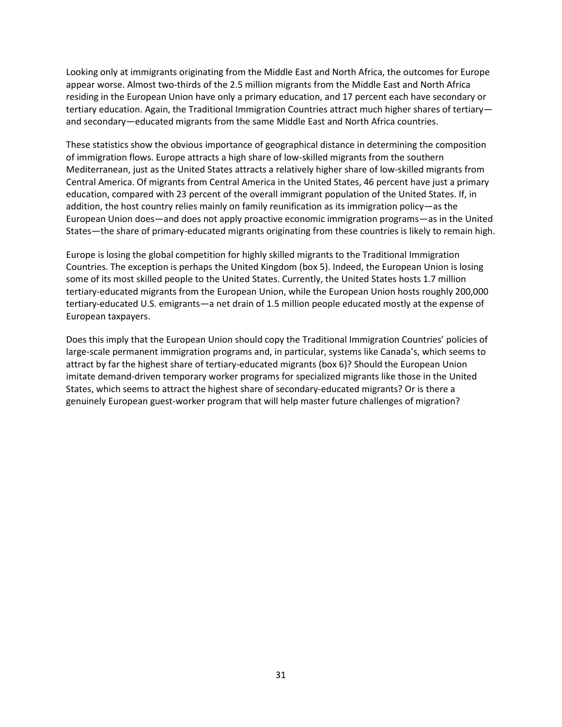Looking only at immigrants originating from the Middle East and North Africa, the outcomes for Europe appear worse. Almost two-thirds of the 2.5 million migrants from the Middle East and North Africa residing in the European Union have only a primary education, and 17 percent each have secondary or tertiary education. Again, the Traditional Immigration Countries attract much higher shares of tertiary and secondary—educated migrants from the same Middle East and North Africa countries.

These statistics show the obvious importance of geographical distance in determining the composition of immigration flows. Europe attracts a high share of low-skilled migrants from the southern Mediterranean, just as the United States attracts a relatively higher share of low-skilled migrants from Central America. Of migrants from Central America in the United States, 46 percent have just a primary education, compared with 23 percent of the overall immigrant population of the United States. If, in addition, the host country relies mainly on family reunification as its immigration policy—as the European Union does—and does not apply proactive economic immigration programs—as in the United States—the share of primary-educated migrants originating from these countries is likely to remain high.

Europe is losing the global competition for highly skilled migrants to the Traditional Immigration Countries. The exception is perhaps the United Kingdom (box 5). Indeed, the European Union is losing some of its most skilled people to the United States. Currently, the United States hosts 1.7 million tertiary-educated migrants from the European Union, while the European Union hosts roughly 200,000 tertiary-educated U.S. emigrants—a net drain of 1.5 million people educated mostly at the expense of European taxpayers.

Does this imply that the European Union should copy the Traditional Immigration Countries' policies of large-scale permanent immigration programs and, in particular, systems like Canada's, which seems to attract by far the highest share of tertiary-educated migrants (box 6)? Should the European Union imitate demand-driven temporary worker programs for specialized migrants like those in the United States, which seems to attract the highest share of secondary-educated migrants? Or is there a genuinely European guest-worker program that will help master future challenges of migration?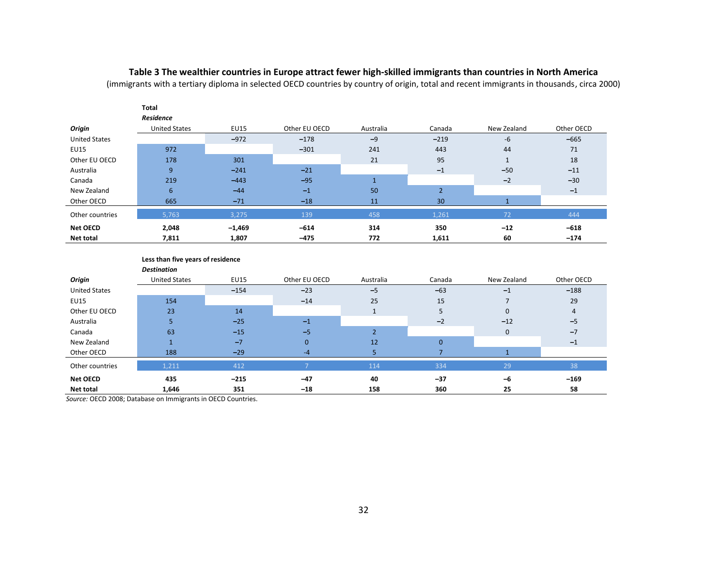### **Table 3 The wealthier countries in Europe attract fewer high-skilled immigrants than countries in North America**

(immigrants with a tertiary diploma in selected OECD countries by country of origin, total and recent immigrants in thousands, circa 2000)

|                      | Total                |             |               |              |                |             |            |
|----------------------|----------------------|-------------|---------------|--------------|----------------|-------------|------------|
|                      | Residence            |             |               |              |                |             |            |
| Origin               | <b>United States</b> | <b>EU15</b> | Other EU OECD | Australia    | Canada         | New Zealand | Other OECD |
| <b>United States</b> |                      | $-972$      | $-178$        | $-9$         | $-219$         | $-6$        | $-665$     |
| <b>EU15</b>          | 972                  |             | $-301$        | 241          | 443            | 44          | 71         |
| Other EU OECD        | 178                  | 301         |               | 21           | 95             |             | 18         |
| Australia            | 9                    | $-241$      | $-21$         |              | $-1$           | $-50$       | $-11$      |
| Canada               | 219                  | $-443$      | $-95$         | $\mathbf{1}$ |                | $-2$        | $-30$      |
| New Zealand          | 6                    | $-44$       | $-1$          | 50           | $\overline{2}$ |             | $-1$       |
| Other OECD           | 665                  | $-71$       | $-18$         | 11           | 30             |             |            |
| Other countries      | 5,763                | 3,275       | 139           | 458          | 1,261          | 72          | 444        |
| <b>Net OECD</b>      | 2,048                | $-1,469$    | $-614$        | 314          | 350            | $-12$       | $-618$     |
| <b>Net total</b>     | 7,811                | 1,807       | $-475$        | 772          | 1,611          | 60          | $-174$     |

#### **Less than five years of residence**

|                      | <b>Destination</b>   |             |               |                          |        |              |            |
|----------------------|----------------------|-------------|---------------|--------------------------|--------|--------------|------------|
| Origin               | <b>United States</b> | <b>EU15</b> | Other EU OECD | Australia                | Canada | New Zealand  | Other OECD |
| <b>United States</b> |                      | $-154$      | $-23$         | $-5$                     | $-63$  | $-1$         | $-188$     |
| <b>EU15</b>          | 154                  |             | $-14$         | 25                       | 15     |              | 29         |
| Other EU OECD        | 23                   | 14          |               |                          | 5      | $\mathbf{0}$ | 4          |
| Australia            | 5                    | $-25$       | $-1$          |                          | $-2$   | $-12$        | $-5$       |
| Canada               | 63                   | $-15$       | $-5$          | $\overline{\phantom{a}}$ |        | $\mathbf{0}$ | $-7$       |
| New Zealand          |                      | $-7$        | $\mathbf{0}$  | 12                       | 0      |              | $-1$       |
| Other OECD           | 188                  | $-29$       | $-4$          |                          |        |              |            |
| Other countries      | 1,211                | 412         |               | 114                      | 334    | 29           | 38         |
| <b>Net OECD</b>      | 435                  | $-215$      | $-47$         | 40                       | $-37$  | -6           | $-169$     |
| Net total            | 1,646                | 351         | $-18$         | 158                      | 360    | 25           | 58         |

*Source:* OECD 2008; Database on Immigrants in OECD Countries.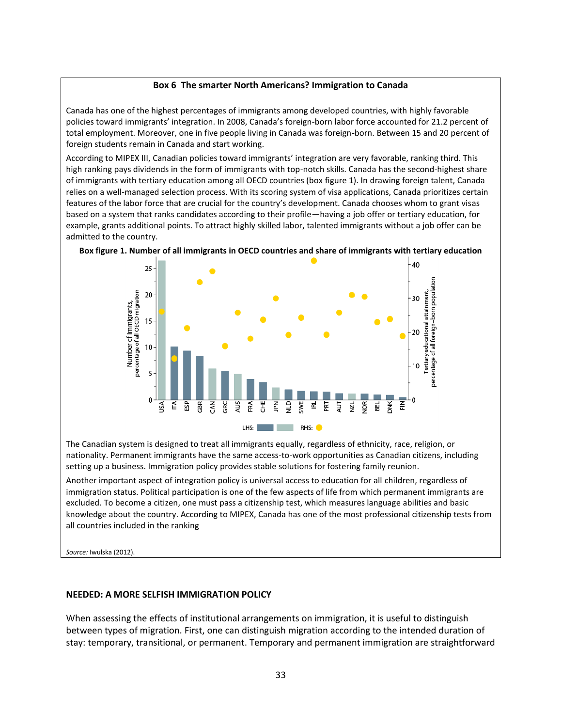#### **Box 6 The smarter North Americans? Immigration to Canada**

Canada has one of the highest percentages of immigrants among developed countries, with highly favorable policies toward immigrants' integration. In 2008, Canada's foreign-born labor force accounted for 21.2 percent of total employment. Moreover, one in five people living in Canada was foreign-born. Between 15 and 20 percent of foreign students remain in Canada and start working.

According to MIPEX III, Canadian policies toward immigrants' integration are very favorable, ranking third. This high ranking pays dividends in the form of immigrants with top-notch skills. Canada has the second-highest share of immigrants with tertiary education among all OECD countries (box figure 1). In drawing foreign talent, Canada relies on a well-managed selection process. With its scoring system of visa applications, Canada prioritizes certain features of the labor force that are crucial for the country's development. Canada chooses whom to grant visas based on a system that ranks candidates according to their profile—having a job offer or tertiary education, for example, grants additional points. To attract highly skilled labor, talented immigrants without a job offer can be admitted to the country.



**Box figure 1. Number of all immigrants in OECD countries and share of immigrants with tertiary education**

The Canadian system is designed to treat all immigrants equally, regardless of ethnicity, race, religion, or nationality. Permanent immigrants have the same access-to-work opportunities as Canadian citizens, including setting up a business. Immigration policy provides stable solutions for fostering family reunion.

Another important aspect of integration policy is universal access to education for all children, regardless of immigration status. Political participation is one of the few aspects of life from which permanent immigrants are excluded. To become a citizen, one must pass a citizenship test, which measures language abilities and basic knowledge about the country. According to MIPEX, Canada has one of the most professional citizenship tests from all countries included in the ranking

*Source:* Iwulska (2012).

#### **NEEDED: A MORE SELFISH IMMIGRATION POLICY**

When assessing the effects of institutional arrangements on immigration, it is useful to distinguish between types of migration. First, one can distinguish migration according to the intended duration of stay: temporary, transitional, or permanent. Temporary and permanent immigration are straightforward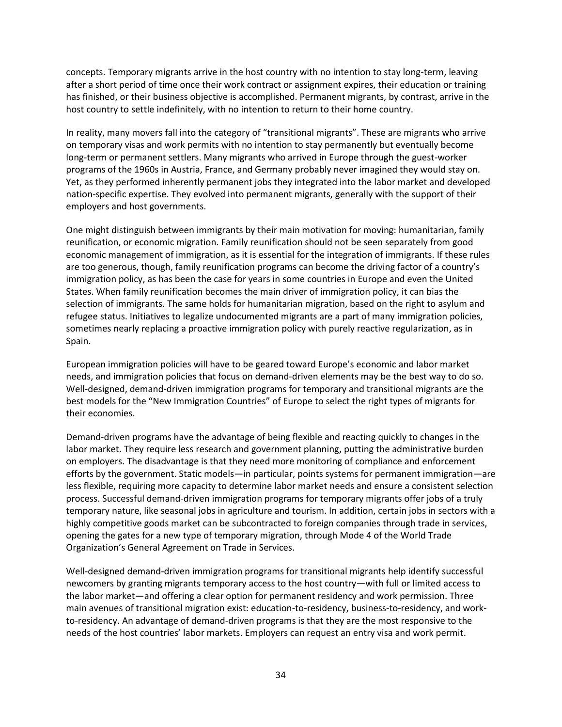concepts. Temporary migrants arrive in the host country with no intention to stay long-term, leaving after a short period of time once their work contract or assignment expires, their education or training has finished, or their business objective is accomplished. Permanent migrants, by contrast, arrive in the host country to settle indefinitely, with no intention to return to their home country.

In reality, many movers fall into the category of "transitional migrants". These are migrants who arrive on temporary visas and work permits with no intention to stay permanently but eventually become long-term or permanent settlers. Many migrants who arrived in Europe through the guest-worker programs of the 1960s in Austria, France, and Germany probably never imagined they would stay on. Yet, as they performed inherently permanent jobs they integrated into the labor market and developed nation-specific expertise. They evolved into permanent migrants, generally with the support of their employers and host governments.

One might distinguish between immigrants by their main motivation for moving: humanitarian, family reunification, or economic migration. Family reunification should not be seen separately from good economic management of immigration, as it is essential for the integration of immigrants. If these rules are too generous, though, family reunification programs can become the driving factor of a country's immigration policy, as has been the case for years in some countries in Europe and even the United States. When family reunification becomes the main driver of immigration policy, it can bias the selection of immigrants. The same holds for humanitarian migration, based on the right to asylum and refugee status. Initiatives to legalize undocumented migrants are a part of many immigration policies, sometimes nearly replacing a proactive immigration policy with purely reactive regularization, as in Spain.

European immigration policies will have to be geared toward Europe's economic and labor market needs, and immigration policies that focus on demand-driven elements may be the best way to do so. Well-designed, demand-driven immigration programs for temporary and transitional migrants are the best models for the "New Immigration Countries" of Europe to select the right types of migrants for their economies.

Demand-driven programs have the advantage of being flexible and reacting quickly to changes in the labor market. They require less research and government planning, putting the administrative burden on employers. The disadvantage is that they need more monitoring of compliance and enforcement efforts by the government. Static models—in particular, points systems for permanent immigration—are less flexible, requiring more capacity to determine labor market needs and ensure a consistent selection process. Successful demand-driven immigration programs for temporary migrants offer jobs of a truly temporary nature, like seasonal jobs in agriculture and tourism. In addition, certain jobs in sectors with a highly competitive goods market can be subcontracted to foreign companies through trade in services, opening the gates for a new type of temporary migration, through Mode 4 of the World Trade Organization's General Agreement on Trade in Services.

Well-designed demand-driven immigration programs for transitional migrants help identify successful newcomers by granting migrants temporary access to the host country—with full or limited access to the labor market—and offering a clear option for permanent residency and work permission. Three main avenues of transitional migration exist: education-to-residency, business-to-residency, and workto-residency. An advantage of demand-driven programs is that they are the most responsive to the needs of the host countries' labor markets. Employers can request an entry visa and work permit.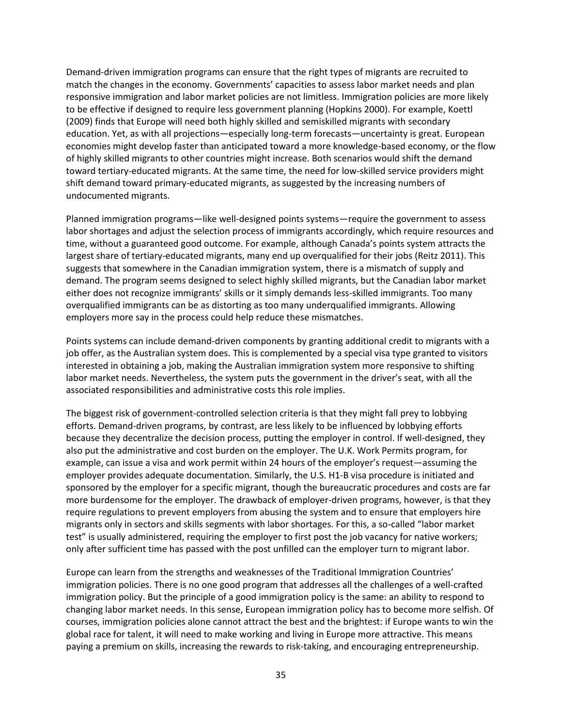Demand-driven immigration programs can ensure that the right types of migrants are recruited to match the changes in the economy. Governments' capacities to assess labor market needs and plan responsive immigration and labor market policies are not limitless. Immigration policies are more likely to be effective if designed to require less government planning (Hopkins 2000). For example, Koettl (2009) finds that Europe will need both highly skilled and semiskilled migrants with secondary education. Yet, as with all projections—especially long-term forecasts—uncertainty is great. European economies might develop faster than anticipated toward a more knowledge-based economy, or the flow of highly skilled migrants to other countries might increase. Both scenarios would shift the demand toward tertiary-educated migrants. At the same time, the need for low-skilled service providers might shift demand toward primary-educated migrants, as suggested by the increasing numbers of undocumented migrants.

Planned immigration programs—like well-designed points systems—require the government to assess labor shortages and adjust the selection process of immigrants accordingly, which require resources and time, without a guaranteed good outcome. For example, although Canada's points system attracts the largest share of tertiary-educated migrants, many end up overqualified for their jobs (Reitz 2011). This suggests that somewhere in the Canadian immigration system, there is a mismatch of supply and demand. The program seems designed to select highly skilled migrants, but the Canadian labor market either does not recognize immigrants' skills or it simply demands less-skilled immigrants. Too many overqualified immigrants can be as distorting as too many underqualified immigrants. Allowing employers more say in the process could help reduce these mismatches.

Points systems can include demand-driven components by granting additional credit to migrants with a job offer, as the Australian system does. This is complemented by a special visa type granted to visitors interested in obtaining a job, making the Australian immigration system more responsive to shifting labor market needs. Nevertheless, the system puts the government in the driver's seat, with all the associated responsibilities and administrative costs this role implies.

The biggest risk of government-controlled selection criteria is that they might fall prey to lobbying efforts. Demand-driven programs, by contrast, are less likely to be influenced by lobbying efforts because they decentralize the decision process, putting the employer in control. If well-designed, they also put the administrative and cost burden on the employer. The U.K. Work Permits program, for example, can issue a visa and work permit within 24 hours of the employer's request—assuming the employer provides adequate documentation. Similarly, the U.S. H1-B visa procedure is initiated and sponsored by the employer for a specific migrant, though the bureaucratic procedures and costs are far more burdensome for the employer. The drawback of employer-driven programs, however, is that they require regulations to prevent employers from abusing the system and to ensure that employers hire migrants only in sectors and skills segments with labor shortages. For this, a so-called "labor market test" is usually administered, requiring the employer to first post the job vacancy for native workers; only after sufficient time has passed with the post unfilled can the employer turn to migrant labor.

Europe can learn from the strengths and weaknesses of the Traditional Immigration Countries' immigration policies. There is no one good program that addresses all the challenges of a well-crafted immigration policy. But the principle of a good immigration policy is the same: an ability to respond to changing labor market needs. In this sense, European immigration policy has to become more selfish. Of courses, immigration policies alone cannot attract the best and the brightest: if Europe wants to win the global race for talent, it will need to make working and living in Europe more attractive. This means paying a premium on skills, increasing the rewards to risk-taking, and encouraging entrepreneurship.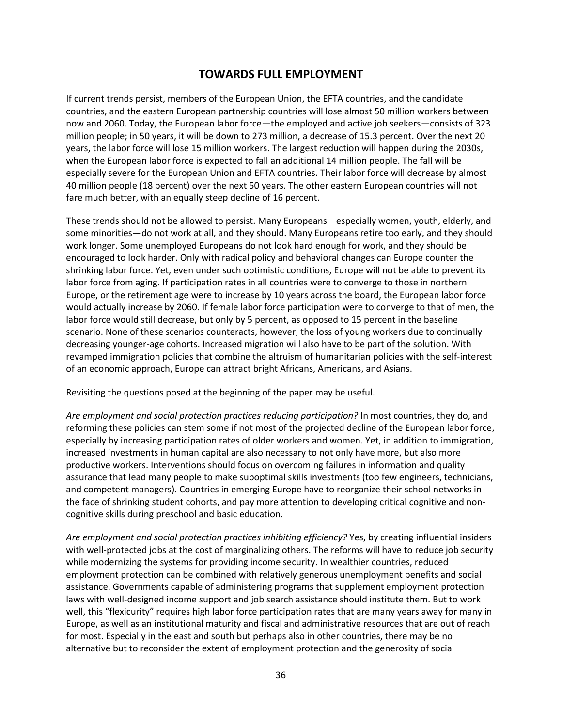# **TOWARDS FULL EMPLOYMENT**

If current trends persist, members of the European Union, the EFTA countries, and the candidate countries, and the eastern European partnership countries will lose almost 50 million workers between now and 2060. Today, the European labor force—the employed and active job seekers—consists of 323 million people; in 50 years, it will be down to 273 million, a decrease of 15.3 percent. Over the next 20 years, the labor force will lose 15 million workers. The largest reduction will happen during the 2030s, when the European labor force is expected to fall an additional 14 million people. The fall will be especially severe for the European Union and EFTA countries. Their labor force will decrease by almost 40 million people (18 percent) over the next 50 years. The other eastern European countries will not fare much better, with an equally steep decline of 16 percent.

These trends should not be allowed to persist. Many Europeans—especially women, youth, elderly, and some minorities—do not work at all, and they should. Many Europeans retire too early, and they should work longer. Some unemployed Europeans do not look hard enough for work, and they should be encouraged to look harder. Only with radical policy and behavioral changes can Europe counter the shrinking labor force. Yet, even under such optimistic conditions, Europe will not be able to prevent its labor force from aging. If participation rates in all countries were to converge to those in northern Europe, or the retirement age were to increase by 10 years across the board, the European labor force would actually increase by 2060. If female labor force participation were to converge to that of men, the labor force would still decrease, but only by 5 percent, as opposed to 15 percent in the baseline scenario. None of these scenarios counteracts, however, the loss of young workers due to continually decreasing younger-age cohorts. Increased migration will also have to be part of the solution. With revamped immigration policies that combine the altruism of humanitarian policies with the self-interest of an economic approach, Europe can attract bright Africans, Americans, and Asians.

Revisiting the questions posed at the beginning of the paper may be useful.

*Are employment and social protection practices reducing participation?* In most countries, they do, and reforming these policies can stem some if not most of the projected decline of the European labor force, especially by increasing participation rates of older workers and women. Yet, in addition to immigration, increased investments in human capital are also necessary to not only have more, but also more productive workers. Interventions should focus on overcoming failures in information and quality assurance that lead many people to make suboptimal skills investments (too few engineers, technicians, and competent managers). Countries in emerging Europe have to reorganize their school networks in the face of shrinking student cohorts, and pay more attention to developing critical cognitive and noncognitive skills during preschool and basic education.

*Are employment and social protection practices inhibiting efficiency?* Yes, by creating influential insiders with well-protected jobs at the cost of marginalizing others. The reforms will have to reduce job security while modernizing the systems for providing income security. In wealthier countries, reduced employment protection can be combined with relatively generous unemployment benefits and social assistance. Governments capable of administering programs that supplement employment protection laws with well-designed income support and job search assistance should institute them. But to work well, this "flexicurity" requires high labor force participation rates that are many years away for many in Europe, as well as an institutional maturity and fiscal and administrative resources that are out of reach for most. Especially in the east and south but perhaps also in other countries, there may be no alternative but to reconsider the extent of employment protection and the generosity of social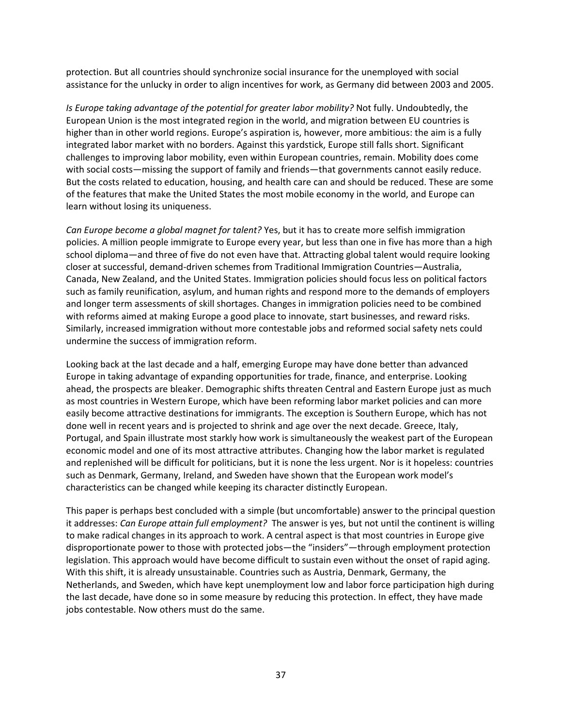protection. But all countries should synchronize social insurance for the unemployed with social assistance for the unlucky in order to align incentives for work, as Germany did between 2003 and 2005.

*Is Europe taking advantage of the potential for greater labor mobility?* Not fully. Undoubtedly, the European Union is the most integrated region in the world, and migration between EU countries is higher than in other world regions. Europe's aspiration is, however, more ambitious: the aim is a fully integrated labor market with no borders. Against this yardstick, Europe still falls short. Significant challenges to improving labor mobility, even within European countries, remain. Mobility does come with social costs—missing the support of family and friends—that governments cannot easily reduce. But the costs related to education, housing, and health care can and should be reduced. These are some of the features that make the United States the most mobile economy in the world, and Europe can learn without losing its uniqueness.

*Can Europe become a global magnet for talent?* Yes, but it has to create more selfish immigration policies. A million people immigrate to Europe every year, but less than one in five has more than a high school diploma—and three of five do not even have that. Attracting global talent would require looking closer at successful, demand-driven schemes from Traditional Immigration Countries—Australia, Canada, New Zealand, and the United States. Immigration policies should focus less on political factors such as family reunification, asylum, and human rights and respond more to the demands of employers and longer term assessments of skill shortages. Changes in immigration policies need to be combined with reforms aimed at making Europe a good place to innovate, start businesses, and reward risks. Similarly, increased immigration without more contestable jobs and reformed social safety nets could undermine the success of immigration reform.

Looking back at the last decade and a half, emerging Europe may have done better than advanced Europe in taking advantage of expanding opportunities for trade, finance, and enterprise. Looking ahead, the prospects are bleaker. Demographic shifts threaten Central and Eastern Europe just as much as most countries in Western Europe, which have been reforming labor market policies and can more easily become attractive destinations for immigrants. The exception is Southern Europe, which has not done well in recent years and is projected to shrink and age over the next decade. Greece, Italy, Portugal, and Spain illustrate most starkly how work is simultaneously the weakest part of the European economic model and one of its most attractive attributes. Changing how the labor market is regulated and replenished will be difficult for politicians, but it is none the less urgent. Nor is it hopeless: countries such as Denmark, Germany, Ireland, and Sweden have shown that the European work model's characteristics can be changed while keeping its character distinctly European.

This paper is perhaps best concluded with a simple (but uncomfortable) answer to the principal question it addresses: *Can Europe attain full employment?* The answer is yes, but not until the continent is willing to make radical changes in its approach to work. A central aspect is that most countries in Europe give disproportionate power to those with protected jobs—the "insiders"—through employment protection legislation. This approach would have become difficult to sustain even without the onset of rapid aging. With this shift, it is already unsustainable. Countries such as Austria, Denmark, Germany, the Netherlands, and Sweden, which have kept unemployment low and labor force participation high during the last decade, have done so in some measure by reducing this protection. In effect, they have made jobs contestable. Now others must do the same.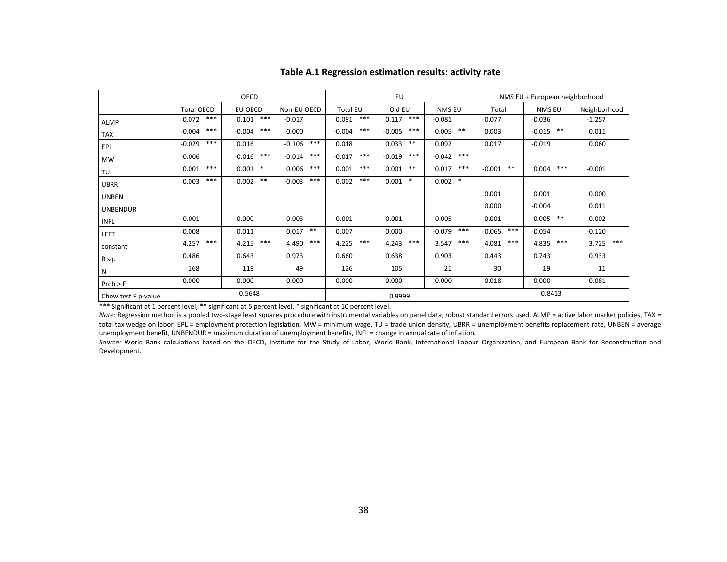|                     | OECD              |                   |                   |                   | EU                |                   | NMS EU + European neighborhood |                        |              |
|---------------------|-------------------|-------------------|-------------------|-------------------|-------------------|-------------------|--------------------------------|------------------------|--------------|
|                     | <b>Total OECD</b> | EU OECD           | Non-EU OECD       | <b>Total EU</b>   | Old EU            | NMS EU            | Total                          | NMS EU                 | Neighborhood |
| <b>ALMP</b>         | ***<br>0.072      | $***$<br>0.101    | $-0.017$          | ***<br>0.091      | ***<br>0.117      | $-0.081$          | $-0.077$                       | $-0.036$               | $-1.257$     |
| TAX                 | $***$<br>$-0.004$ | $***$<br>$-0.004$ | 0.000             | $***$<br>$-0.004$ | $***$<br>$-0.005$ | $***$<br>0.005    | 0.003                          | $\ast\ast$<br>$-0.015$ | 0.011        |
| EPL                 | $***$<br>$-0.029$ | 0.016             | $***$<br>$-0.106$ | 0.018             | $* *$<br>0.033    | 0.092             | 0.017                          | $-0.019$               | 0.060        |
| MW                  | $-0.006$          | $***$<br>$-0.016$ | $***$<br>$-0.014$ | $***$<br>$-0.017$ | $***$<br>$-0.019$ | $***$<br>$-0.042$ |                                |                        |              |
| TU                  | $***$<br>0.001    | $\ast$<br>0.001   | $***$<br>0.006    | $***$<br>0.001    | $***$<br>0.001    | $***$<br>0.017    | $***$<br>$-0.001$              | ***<br>0.004           | $-0.001$     |
| <b>UBRR</b>         | $***$<br>0.003    | $***$<br>0.002    | $***$<br>$-0.003$ | $***$<br>0.002    | $0.001$ *         | $\ast$<br>0.002   |                                |                        |              |
| <b>UNBEN</b>        |                   |                   |                   |                   |                   |                   | 0.001                          | 0.001                  | 0.000        |
| <b>UNBENDUR</b>     |                   |                   |                   |                   |                   |                   | 0.000                          | $-0.004$               | 0.011        |
| <b>INFL</b>         | $-0.001$          | 0.000             | $-0.003$          | $-0.001$          | $-0.001$          | $-0.005$          | 0.001                          | $***$<br>0.005         | 0.002        |
| LEFT                | 0.008             | 0.011             | $***$<br>0.017    | 0.007             | 0.000             | $***$<br>$-0.079$ | $***$<br>$-0.065$              | $-0.054$               | $-0.120$     |
| constant            | $***$<br>4.257    | ***<br>4.215      | $***$<br>4.490    | $***$<br>4.225    | $***$<br>4.243    | ***<br>3.547      | ***<br>4.081                   | $***$<br>4.835         | ***<br>3.725 |
| R sq.               | 0.486             | 0.643             | 0.973             | 0.660             | 0.638             | 0.903             | 0.443                          | 0.743                  | 0.933        |
| N                   | 168               | 119               | 49                | 126               | 105               | 21                | 30                             | 19                     | 11           |
| Prob > F            | 0.000             | 0.000             | 0.000             | 0.000             | 0.000             | 0.000             | 0.018                          | 0.000                  | 0.081        |
| Chow test F p-value |                   | 0.5648            |                   | 0.9999            |                   |                   | 0.8413                         |                        |              |

#### **Table A.1 Regression estimation results: activity rate**

\*\*\* Significant at 1 percent level, \*\* significant at 5 percent level, \* significant at 10 percent level.

Note: Regression method is a pooled two-stage least squares procedure with instrumental variables on panel data; robust standard errors used. ALMP = active labor market policies, TAX = total tax wedge on labor, EPL = employment protection legislation, MW = minimum wage, TU = trade union density, UBRR = unemployment benefits replacement rate, UNBEN = average unemployment benefit, UNBENDUR = maximum duration of unemployment benefits, INFL = change in annual rate of inflation.

*Source:* World Bank calculations based on the OECD, Institute for the Study of Labor, World Bank, International Labour Organization, and European Bank for Reconstruction and Development.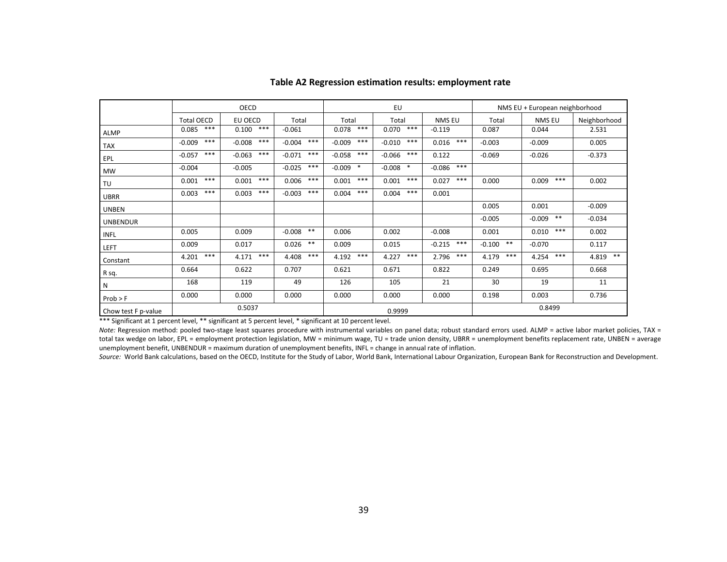|                     | OECD              |                   |                   |                    | EU                |                   | NMS EU + European neighborhood |                   |                |
|---------------------|-------------------|-------------------|-------------------|--------------------|-------------------|-------------------|--------------------------------|-------------------|----------------|
|                     | <b>Total OECD</b> | EU OECD           | Total             | Total              | Total             | <b>NMS EU</b>     | Total                          | <b>NMS EU</b>     | Neighborhood   |
| ALMP                | $***$<br>0.085    | $***$<br>0.100    | $-0.061$          | $***$<br>0.078     | $***$<br>0.070    | $-0.119$          | 0.087                          | 0.044             | 2.531          |
| <b>TAX</b>          | $***$<br>$-0.009$ | $***$<br>$-0.008$ | $***$<br>$-0.004$ | $***$<br>$-0.009$  | $***$<br>$-0.010$ | $***$<br>0.016    | $-0.003$                       | $-0.009$          | 0.005          |
| EPL                 | $***$<br>$-0.057$ | $***$<br>$-0.063$ | $***$<br>$-0.071$ | $***$<br>$-0.058$  | $***$<br>$-0.066$ | 0.122             | $-0.069$                       | $-0.026$          | $-0.373$       |
| <b>MW</b>           | $-0.004$          | $-0.005$          | $***$<br>$-0.025$ | $\ast$<br>$-0.009$ | $-0.008$ *        | $***$<br>$-0.086$ |                                |                   |                |
| TU                  | $***$<br>0.001    | $***$<br>0.001    | $***$<br>0.006    | $***$<br>0.001     | $***$<br>0.001    | $***$<br>0.027    | 0.000                          | $***$<br>0.009    | 0.002          |
| UBRR                | $***$<br>0.003    | $***$<br>0.003    | $***$<br>$-0.003$ | $***$<br>0.004     | $***$<br>0.004    | 0.001             |                                |                   |                |
| <b>UNBEN</b>        |                   |                   |                   |                    |                   |                   | 0.005                          | 0.001             | $-0.009$       |
| <b>UNBENDUR</b>     |                   |                   |                   |                    |                   |                   | $-0.005$                       | $***$<br>$-0.009$ | $-0.034$       |
| <b>INFL</b>         | 0.005             | 0.009             | $***$<br>$-0.008$ | 0.006              | 0.002             | $-0.008$          | 0.001                          | $***$<br>0.010    | 0.002          |
| LEFT                | 0.009             | 0.017             | $***$<br>0.026    | 0.009              | 0.015             | $***$<br>$-0.215$ | $***$<br>$-0.100$              | $-0.070$          | 0.117          |
| Constant            | $***$<br>4.201    | $***$<br>4.171    | $***$<br>4.408    | $***$<br>4.192     | $***$<br>4.227    | $***$<br>2.796    | $***$<br>4.179                 | $***$<br>4.254    | $***$<br>4.819 |
| R sq.               | 0.664             | 0.622             | 0.707             | 0.621              | 0.671             | 0.822             | 0.249                          | 0.695             | 0.668          |
| N                   | 168               | 119               | 49                | 126                | 105               | 21                | 30                             | 19                | 11             |
| Prob > F            | 0.000             | 0.000             | 0.000             | 0.000              | 0.000             | 0.000             | 0.198                          | 0.003             | 0.736          |
| Chow test F p-value |                   | 0.5037            |                   | 0.9999             |                   |                   |                                | 0.8499            |                |

#### **Table A2 Regression estimation results: employment rate**

\*\*\* Significant at 1 percent level, \*\* significant at 5 percent level, \* significant at 10 percent level.

Note: Regression method: pooled two-stage least squares procedure with instrumental variables on panel data; robust standard errors used. ALMP = active labor market policies, TAX = total tax wedge on labor, EPL = employment protection legislation, MW = minimum wage, TU = trade union density, UBRR = unemployment benefits replacement rate, UNBEN = average unemployment benefit, UNBENDUR = maximum duration of unemployment benefits, INFL = change in annual rate of inflation.

*Source:* World Bank calculations, based on the OECD, Institute for the Study of Labor, World Bank, International Labour Organization, European Bank for Reconstruction and Development.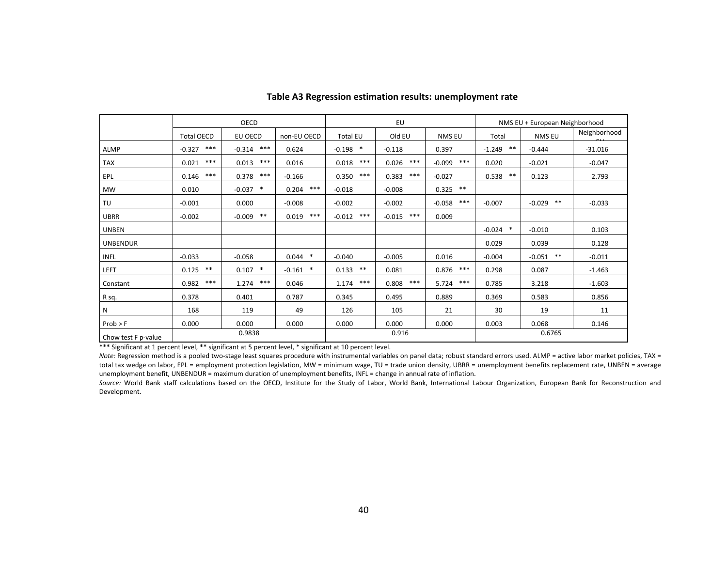|                     | OECD              |                    |                    | EU                 |                   |                   | NMS EU + European Neighborhood |                   |              |
|---------------------|-------------------|--------------------|--------------------|--------------------|-------------------|-------------------|--------------------------------|-------------------|--------------|
|                     | <b>Total OECD</b> | EU OECD            | non-EU OECD        | Total EU           | Old EU            | NMS EU            | Total                          | NMS EU            | Neighborhood |
| ALMP                | $***$<br>$-0.327$ | $***$<br>$-0.314$  | 0.624              | $\ast$<br>$-0.198$ | $-0.118$          | 0.397             | $* *$<br>$-1.249$              | $-0.444$          | $-31.016$    |
| <b>TAX</b>          | $***$<br>0.021    | $***$<br>0.013     | 0.016              | $***$<br>0.018     | $***$<br>0.026    | $***$<br>$-0.099$ | 0.020                          | $-0.021$          | $-0.047$     |
| EPL                 | $***$<br>0.146    | $***$<br>0.378     | $-0.166$           | $***$<br>0.350     | $***$<br>0.383    | $-0.027$          | $***$<br>0.538                 | 0.123             | 2.793        |
| <b>MW</b>           | 0.010             | $\ast$<br>$-0.037$ | $***$<br>0.204     | $-0.018$           | $-0.008$          | $***$<br>0.325    |                                |                   |              |
| TU                  | $-0.001$          | 0.000              | $-0.008$           | $-0.002$           | $-0.002$          | $***$<br>$-0.058$ | $-0.007$                       | $***$<br>$-0.029$ | $-0.033$     |
| <b>UBRR</b>         | $-0.002$          | $* *$<br>$-0.009$  | $***$<br>0.019     | $***$<br>$-0.012$  | $***$<br>$-0.015$ | 0.009             |                                |                   |              |
| <b>UNBEN</b>        |                   |                    |                    |                    |                   |                   | $\ast$<br>$-0.024$             | $-0.010$          | 0.103        |
| <b>UNBENDUR</b>     |                   |                    |                    |                    |                   |                   | 0.029                          | 0.039             | 0.128        |
| <b>INFL</b>         | $-0.033$          | $-0.058$           | $0.044$ *          | $-0.040$           | $-0.005$          | 0.016             | $-0.004$                       | $***$<br>$-0.051$ | $-0.011$     |
| LEFT                | $* *$<br>0.125    | $\ast$<br>0.107    | $\ast$<br>$-0.161$ | $***$<br>0.133     | 0.081             | $***$<br>0.876    | 0.298                          | 0.087             | $-1.463$     |
| Constant            | $***$<br>0.982    | $***$<br>1.274     | 0.046              | $***$<br>1.174     | $***$<br>0.808    | $***$<br>5.724    | 0.785                          | 3.218             | $-1.603$     |
| R sq.               | 0.378             | 0.401              | 0.787              | 0.345              | 0.495             | 0.889             | 0.369                          | 0.583             | 0.856        |
| N                   | 168               | 119                | 49                 | 126                | 105               | 21                | 30                             | 19                | 11           |
| Prob > F            | 0.000             | 0.000              | 0.000              | 0.000              | 0.000             | 0.000             | 0.003                          | 0.068             | 0.146        |
| Chow test F p-value |                   | 0.9838             |                    | 0.916              |                   |                   | 0.6765                         |                   |              |

#### **Table A3 Regression estimation results: unemployment rate**

\*\*\* Significant at 1 percent level, \*\* significant at 5 percent level, \* significant at 10 percent level.

Note: Regression method is a pooled two-stage least squares procedure with instrumental variables on panel data; robust standard errors used. ALMP = active labor market policies, TAX = total tax wedge on labor, EPL = employment protection legislation, MW = minimum wage, TU = trade union density, UBRR = unemployment benefits replacement rate, UNBEN = average unemployment benefit, UNBENDUR = maximum duration of unemployment benefits, INFL = change in annual rate of inflation.

Source: World Bank staff calculations based on the OECD, Institute for the Study of Labor, World Bank, International Labour Organization, European Bank for Reconstruction and Development.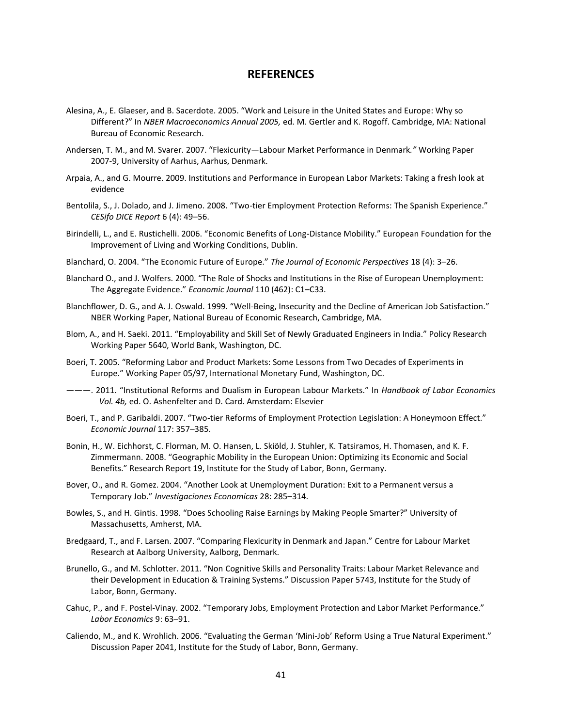#### **REFERENCES**

- Alesina, A., E. Glaeser, and B. Sacerdote. 2005. "Work and Leisure in the United States and Europe: Why so Different?" In *NBER Macroeconomics Annual 2005,* ed. M. Gertler and K. Rogoff. Cambridge, MA: National Bureau of Economic Research.
- Andersen, T. M., and M. Svarer. 2007. "Flexicurity—Labour Market Performance in Denmark*."* Working Paper 2007-9, University of Aarhus, Aarhus, Denmark.
- Arpaia, A., and G. Mourre. 2009. Institutions and Performance in European Labor Markets: Taking a fresh look at evidence
- Bentolila, S., J. Dolado, and J. Jimeno. 2008. "Two-tier Employment Protection Reforms: The Spanish Experience." *CESifo DICE Report* 6 (4): 49–56.
- Birindelli, L., and E. Rustichelli. 2006. "Economic Benefits of Long-Distance Mobility." European Foundation for the Improvement of Living and Working Conditions, Dublin.
- Blanchard, O. 2004. "The Economic Future of Europe." *The Journal of Economic Perspectives* 18 (4): 3–26.
- Blanchard O., and J. Wolfers. 2000. "The Role of Shocks and Institutions in the Rise of European Unemployment: The Aggregate Evidence." *Economic Journal* 110 (462): C1–C33.
- Blanchflower, D. G., and A. J. Oswald. 1999. "Well-Being, Insecurity and the Decline of American Job Satisfaction." NBER Working Paper, National Bureau of Economic Research, Cambridge, MA.
- Blom, A., and H. Saeki. 2011. "Employability and Skill Set of Newly Graduated Engineers in India." Policy Research Working Paper 5640, World Bank, Washington, DC.
- Boeri, T. 2005. "Reforming Labor and Product Markets: Some Lessons from Two Decades of Experiments in Europe." Working Paper 05/97, International Monetary Fund, Washington, DC.
- ———. 2011. "Institutional Reforms and Dualism in European Labour Markets." In *Handbook of Labor Economics Vol. 4b,* ed. O. Ashenfelter and D. Card. Amsterdam: Elsevier
- Boeri, T., and P. Garibaldi. 2007. "Two-tier Reforms of Employment Protection Legislation: A Honeymoon Effect." *Economic Journal* 117: 357–385.
- Bonin, H., W. Eichhorst, C. Florman, M. O. Hansen, L. Skiöld, J. Stuhler, K. Tatsiramos, H. Thomasen, and K. F. Zimmermann. 2008. "Geographic Mobility in the European Union: Optimizing its Economic and Social Benefits." Research Report 19, Institute for the Study of Labor, Bonn, Germany.
- Bover, O., and R. Gomez. 2004. "Another Look at Unemployment Duration: Exit to a Permanent versus a Temporary Job." *Investigaciones Economicas* 28: 285–314.
- Bowles, S., and H. Gintis. 1998. "Does Schooling Raise Earnings by Making People Smarter?" University of Massachusetts, Amherst, MA.
- Bredgaard, T., and F. Larsen. 2007. "Comparing Flexicurity in Denmark and Japan." Centre for Labour Market Research at Aalborg University, Aalborg, Denmark.
- Brunello, G., and M. Schlotter. 2011. "Non Cognitive Skills and Personality Traits: Labour Market Relevance and their Development in Education & Training Systems." Discussion Paper 5743, Institute for the Study of Labor, Bonn, Germany.
- Cahuc, P., and F. Postel-Vinay. 2002. "Temporary Jobs, Employment Protection and Labor Market Performance." *Labor Economics* 9: 63–91.
- Caliendo, M., and K. Wrohlich. 2006. "Evaluating the German 'Mini-Job' Reform Using a True Natural Experiment." Discussion Paper 2041, Institute for the Study of Labor, Bonn, Germany.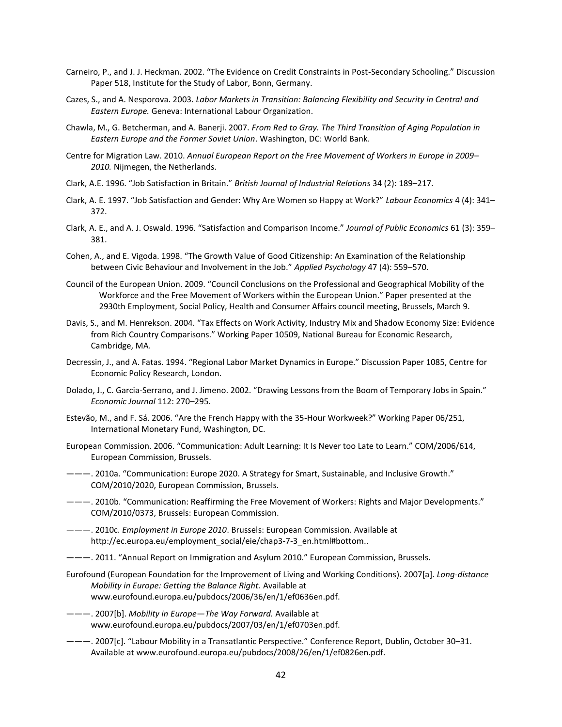- Carneiro, P., and J. J. Heckman. 2002. "The Evidence on Credit Constraints in Post-Secondary Schooling." Discussion Paper 518, Institute for the Study of Labor, Bonn, Germany.
- Cazes, S., and A. Nesporova. 2003. *Labor Markets in Transition: Balancing Flexibility and Security in Central and Eastern Europe.* Geneva: International Labour Organization.
- Chawla, M., G. Betcherman, and A. Banerji. 2007. *From Red to Gray. The Third Transition of Aging Population in Eastern Europe and the Former Soviet Union*. Washington, DC: World Bank.
- Centre for Migration Law. 2010. *Annual European Report on the Free Movement of Workers in Europe in 2009– 2010.* Nijmegen, the Netherlands.
- Clark, A.E. 1996. "Job Satisfaction in Britain." *British Journal of Industrial Relations* 34 (2): 189–217.
- Clark, A. E. 1997. "Job Satisfaction and Gender: Why Are Women so Happy at Work?" *Labour Economics* 4 (4): 341– 372.
- Clark, A. E., and A. J. Oswald. 1996. "Satisfaction and Comparison Income." *Journal of Public Economics* 61 (3): 359– 381.
- Cohen, A., and E. Vigoda. 1998. "The Growth Value of Good Citizenship: An Examination of the Relationship between Civic Behaviour and Involvement in the Job." *Applied Psychology* 47 (4): 559–570.
- Council of the European Union. 2009. "Council Conclusions on the Professional and Geographical Mobility of the Workforce and the Free Movement of Workers within the European Union." Paper presented at the 2930th Employment, Social Policy, Health and Consumer Affairs council meeting, Brussels, March 9.
- Davis, S., and M. Henrekson. 2004. "Tax Effects on Work Activity, Industry Mix and Shadow Economy Size: Evidence from Rich Country Comparisons." Working Paper 10509, National Bureau for Economic Research, Cambridge, MA.
- Decressin, J., and A. Fatas. 1994. "Regional Labor Market Dynamics in Europe." Discussion Paper 1085, Centre for Economic Policy Research, London.
- Dolado, J., C. Garcia-Serrano, and J. Jimeno. 2002. "Drawing Lessons from the Boom of Temporary Jobs in Spain." *Economic Journal* 112: 270–295.
- Estevão, M., and F. Sá. 2006. "Are the French Happy with the 35-Hour Workweek?" Working Paper 06/251, International Monetary Fund, Washington, DC.
- European Commission. 2006. "Communication: Adult Learning: It Is Never too Late to Learn." COM/2006/614, European Commission, Brussels.
- ———. 2010a. "Communication: Europe 2020. A Strategy for Smart, Sustainable, and Inclusive Growth." COM/2010/2020, European Commission, Brussels.
- ———. 2010b. "Communication: Reaffirming the Free Movement of Workers: Rights and Major Developments." COM/2010/0373, Brussels: European Commission.
- ———. 2010c. *Employment in Europe 2010*. Brussels: European Commission. Available at http://ec.europa.eu/employment\_social/eie/chap3-7-3\_en.html#bottom..
- ———. 2011. "Annual Report on Immigration and Asylum 2010." European Commission, Brussels.
- Eurofound (European Foundation for the Improvement of Living and Working Conditions). 2007[a]. *Long-distance Mobility in Europe: Getting the Balance Right.* Available at www.eurofound.europa.eu/pubdocs/2006/36/en/1/ef0636en.pdf.
- ———. 2007[b]. *Mobility in Europe—The Way Forward.* Available at www.eurofound.europa.eu/pubdocs/2007/03/en/1/ef0703en.pdf.
- ———. 2007[c]. "Labour Mobility in a Transatlantic Perspective." Conference Report, Dublin, October 30–31. Available at www.eurofound.europa.eu/pubdocs/2008/26/en/1/ef0826en.pdf.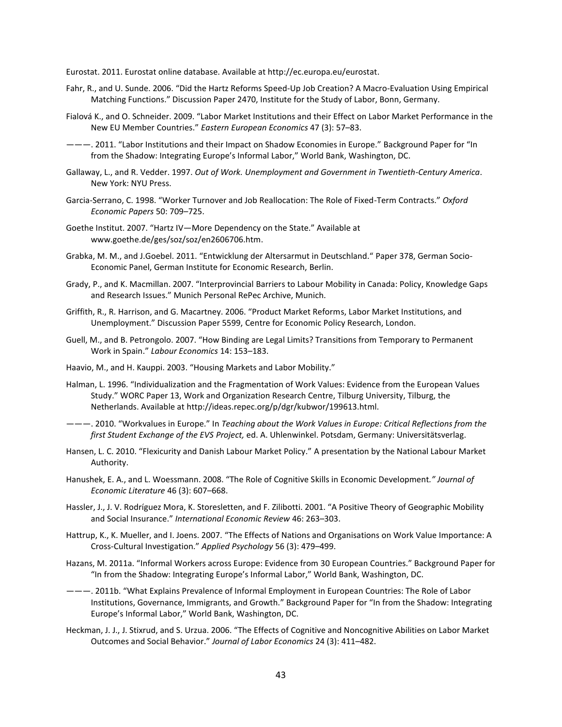Eurostat. 2011. Eurostat online database. Available at http://ec.europa.eu/eurostat.

- Fahr, R., and U. Sunde. 2006. "Did the Hartz Reforms Speed-Up Job Creation? A Macro-Evaluation Using Empirical Matching Functions." Discussion Paper 2470, Institute for the Study of Labor, Bonn, Germany.
- Fialová K., and O. Schneider. 2009. "[Labor Market Institutions and their Effect on Labor Market Performance in the](http://ideas.repec.org/a/mes/eaeuec/v47y2009i3p57-83.html)  [New EU Member Countries](http://ideas.repec.org/a/mes/eaeuec/v47y2009i3p57-83.html)." *[Eastern European Economics](http://ideas.repec.org/s/mes/eaeuec.html)* 47 (3): 57–83.
- ———. 2011. "Labor Institutions and their Impact on Shadow Economies in Europe." Background Paper for "In from the Shadow: Integrating Europe's Informal Labor," World Bank, Washington, DC.
- Gallaway, L., and R. Vedder. 1997. *Out of Work. Unemployment and Government in Twentieth-Century America*. New York: NYU Press.
- Garcia-Serrano, C. 1998. "Worker Turnover and Job Reallocation: The Role of Fixed-Term Contracts." *Oxford Economic Papers* 50: 709–725.
- Goethe Institut. 2007. "Hartz IV—More Dependency on the State." Available at www.goethe.de/ges/soz/soz/en2606706.htm.
- Grabka, M. M., and J.Goebel. 2011. "Entwicklung der Altersarmut in Deutschland." Paper 378, German Socio-Economic Panel, German Institute for Economic Research, Berlin.
- Grady, P., and K. Macmillan. 2007. "Interprovincial Barriers to Labour Mobility in Canada: Policy, Knowledge Gaps and Research Issues." Munich Personal RePec Archive, Munich.
- Griffith, R., R. Harrison, and G. Macartney. 2006. "Product Market Reforms, Labor Market Institutions, and Unemployment." Discussion Paper 5599, Centre for Economic Policy Research, London.
- Guell, M., and B. Petrongolo. 2007. "How Binding are Legal Limits? Transitions from Temporary to Permanent Work in Spain." *Labour Economics* 14: 153–183.
- Haavio, M., and H. Kauppi. 2003. "Housing Markets and Labor Mobility."
- Halman, L. 1996. "Individualization and the Fragmentation of Work Values: Evidence from the European Values Study." WORC Paper 13, Work and Organization Research Centre, Tilburg University, Tilburg, the Netherlands. Available at http://ideas.repec.org/p/dgr/kubwor/199613.html.
- ———. 2010. "Workvalues in Europe." In *Teaching about the Work Values in Europe: Critical Reflections from the first Student Exchange of the EVS Project,* ed. A. Uhlenwinkel. Potsdam, Germany: Universitätsverlag.
- Hansen, L. C. 2010. "Flexicurity and Danish Labour Market Policy." A presentation by the National Labour Market Authority.
- Hanushek, E. A., and L. Woessmann. 2008. "The Role of Cognitive Skills in Economic Development*." Journal of Economic Literature* 46 (3): 607–668.
- Hassler, J., J. V. Rodríguez Mora, K. Storesletten, and F. Zilibotti. 2001. "A Positive Theory of Geographic Mobility and Social Insurance." *International Economic Review* 46: 263–303.
- Hattrup, K., K. Mueller, and I. Joens. 2007. "The Effects of Nations and Organisations on Work Value Importance: A Cross-Cultural Investigation." *Applied Psychology* 56 (3): 479–499.
- Hazans, M. 2011a. "Informal Workers across Europe: Evidence from 30 European Countries." Background Paper for "In from the Shadow: Integrating Europe's Informal Labor," World Bank, Washington, DC.
- ———. 2011b. "What Explains Prevalence of Informal Employment in European Countries: The Role of Labor Institutions, Governance, Immigrants, and Growth." Background Paper for "In from the Shadow: Integrating Europe's Informal Labor," World Bank, Washington, DC.
- Heckman, J. J., J. Stixrud, and S. Urzua. 2006. "The Effects of Cognitive and Noncognitive Abilities on Labor Market Outcomes and Social Behavior." *Journal of Labor Economics* 24 (3): 411–482.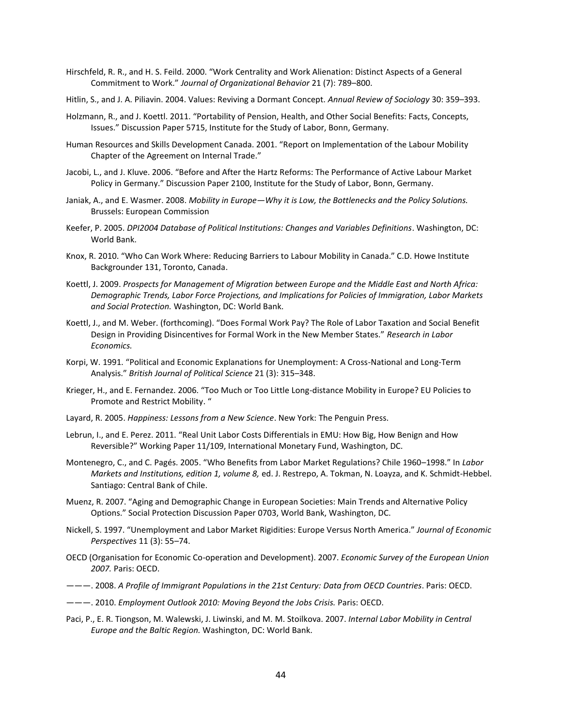- Hirschfeld, R. R., and H. S. Feild. 2000. "Work Centrality and Work Alienation: Distinct Aspects of a General Commitment to Work." *Journal of Organizational Behavior* 21 (7): 789–800.
- Hitlin, S., and J. A. Piliavin. 2004. Values: Reviving a Dormant Concept. *Annual Review of Sociology* 30: 359–393.
- Holzmann, R., and J. Koettl. 2011. "Portability of Pension, Health, and Other Social Benefits: Facts, Concepts, Issues." Discussion Paper 5715, Institute for the Study of Labor, Bonn, Germany.
- Human Resources and Skills Development Canada. 2001. "Report on Implementation of the Labour Mobility Chapter of the Agreement on Internal Trade."
- Jacobi, L., and J. Kluve. 2006. "Before and After the Hartz Reforms: The Performance of Active Labour Market Policy in Germany." Discussion Paper 2100, Institute for the Study of Labor, Bonn, Germany.
- Janiak, A., and E. Wasmer. 2008. *Mobility in Europe—Why it is Low, the Bottlenecks and the Policy Solutions.*  Brussels: European Commission
- Keefer, P. 2005. *DPI2004 Database of Political Institutions: Changes and Variables Definitions*. Washington, DC: World Bank.
- Knox, R. 2010. "Who Can Work Where: Reducing Barriers to Labour Mobility in Canada." C.D. Howe Institute Backgrounder 131, Toronto, Canada.
- Koettl, J. 2009. *Prospects for Management of Migration between Europe and the Middle East and North Africa: Demographic Trends, Labor Force Projections, and Implications for Policies of Immigration, Labor Markets and Social Protection.* Washington, DC: World Bank.
- Koettl, J., and M. Weber. (forthcoming). "Does Formal Work Pay? The Role of Labor Taxation and Social Benefit Design in Providing Disincentives for Formal Work in the New Member States." *Research in Labor Economics.*
- Korpi, W. 1991. "Political and Economic Explanations for Unemployment: A Cross-National and Long-Term Analysis." *British Journal of Political Science* 21 (3): 315–348.
- Krieger, H., and E. Fernandez. 2006. "Too Much or Too Little Long-distance Mobility in Europe? EU Policies to Promote and Restrict Mobility. "
- Layard, R. 2005. *Happiness: Lessons from a New Science*. New York: The Penguin Press.
- Lebrun, I., and E. Perez. 2011. "Real Unit Labor Costs Differentials in EMU: How Big, How Benign and How Reversible?" Working Paper 11/109, International Monetary Fund, Washington, DC.
- Montenegro, C., and C. Pagés. 2005. "[Who Benefits from Labor Market Regulations? Chile 1960](http://ideas.repec.org/h/chb/bcchsb/v08c04pp077-114.html)–1998." In *Labor Markets and Institutions, edition 1, volume 8,* ed. J. Restrepo, A. Tokman, N. Loayza, and K. Schmidt-Hebbel. Santiago: Central Bank of Chile.
- Muenz, R. 2007. "Aging and Demographic Change in European Societies: Main Trends and Alternative Policy Options." Social Protection Discussion Paper 0703, World Bank, Washington, DC.
- Nickell, S. 1997. "Unemployment and Labor Market Rigidities: Europe Versus North America." *Journal of Economic Perspectives* 11 (3): 55–74.
- OECD (Organisation for Economic Co-operation and Development). 2007. *Economic Survey of the European Union 2007.* Paris: OECD.
- ———. 2008. *A Profile of Immigrant Populations in the 21st Century: Data from OECD Countries*. Paris: OECD.
- ———. 2010. *Employment Outlook 2010: Moving Beyond the Jobs Crisis.* Paris: OECD.
- Paci, P., E. R. Tiongson, M. Walewski, J. Liwinski, and M. M. Stoilkova. 2007. *Internal Labor Mobility in Central Europe and the Baltic Region.* Washington, DC: World Bank.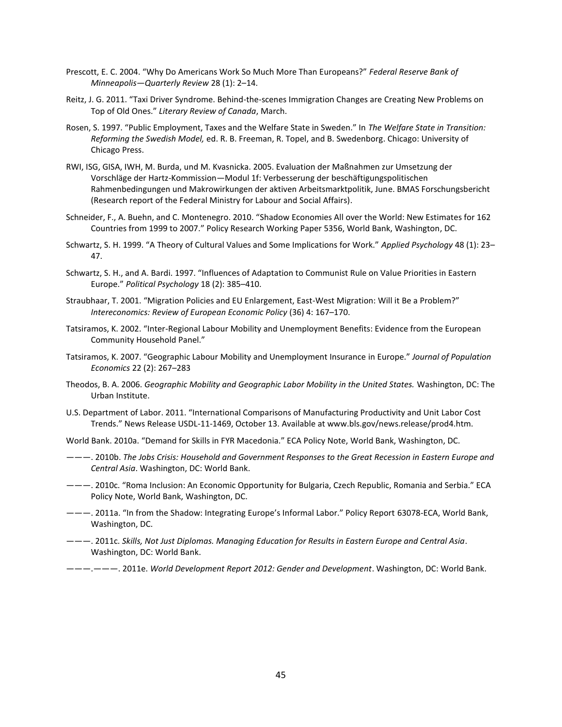- Prescott, E. C. 2004. "Why Do Americans Work So Much More Than Europeans?" *Federal Reserve Bank of Minneapolis—Quarterly Review* 28 (1): 2–14.
- Reitz, J. G. 2011. "Taxi Driver Syndrome. Behind-the-scenes Immigration Changes are Creating New Problems on Top of Old Ones." *Literary Review of Canada*, March.
- Rosen, S. 1997. "Public Employment, Taxes and the Welfare State in Sweden." In *The Welfare State in Transition: Reforming the Swedish Model,* ed. R. B. Freeman, R. Topel, and B. Swedenborg. Chicago: University of Chicago Press.
- RWI, ISG, GISA, IWH, M. Burda, und M. Kvasnicka. 2005. Evaluation der Maßnahmen zur Umsetzung der Vorschläge der Hartz-Kommission—Modul 1f: Verbesserung der beschäftigungspolitischen Rahmenbedingungen und Makrowirkungen der aktiven Arbeitsmarktpolitik, June. BMAS Forschungsbericht (Research report of the Federal Ministry for Labour and Social Affairs).
- Schneider, F., A. Buehn, and C. Montenegro. 2010. "Shadow Economies All over the World: New Estimates for 162 Countries from 1999 to 2007." Policy Research Working Paper 5356, World Bank, Washington, DC.
- Schwartz, S. H. 1999. "A Theory of Cultural Values and Some Implications for Work." *Applied Psychology* 48 (1): 23– 47.
- Schwartz, S. H., and A. Bardi. 1997. "Influences of Adaptation to Communist Rule on Value Priorities in Eastern Europe." *Political Psychology* 18 (2): 385–410.
- Straubhaar, T. 2001. "Migration Policies and EU Enlargement, East-West Migration: Will it Be a Problem?" *Intereconomics: Review of European Economic Policy* (36) 4: 167–170.
- Tatsiramos, K. 2002. "Inter-Regional Labour Mobility and Unemployment Benefits: Evidence from the European Community Household Panel."
- Tatsiramos, K. 2007. "Geographic Labour Mobility and Unemployment Insurance in Europe." *Journal of Population Economics* 22 (2): 267–283
- Theodos, B. A. 2006. *Geographic Mobility and Geographic Labor Mobility in the United States.* Washington, DC: The Urban Institute.
- U.S. Department of Labor. 2011. "International Comparisons of Manufacturing Productivity and Unit Labor Cost Trends." News Release USDL-11-1469, October 13. Available at www.bls.gov/news.release/prod4.htm.
- World Bank. 2010a. "Demand for Skills in FYR Macedonia." ECA Policy Note, World Bank, Washington, DC.
- ———. 2010b. *The Jobs Crisis: Household and Government Responses to the Great Recession in Eastern Europe and Central Asia*. Washington, DC: World Bank.
- ———. 2010c. "Roma Inclusion: An Economic Opportunity for Bulgaria, Czech Republic, Romania and Serbia." ECA Policy Note, World Bank, Washington, DC.
- ———. 2011a. "In from the Shadow: Integrating Europe's Informal Labor." Policy Report 63078-ECA, World Bank, Washington, DC.
- ———. 2011c. *Skills, Not Just Diplomas. Managing Education for Results in Eastern Europe and Central Asia*. Washington, DC: World Bank.
- ———.———. 2011e. *World Development Report 2012: Gender and Development*. Washington, DC: World Bank.